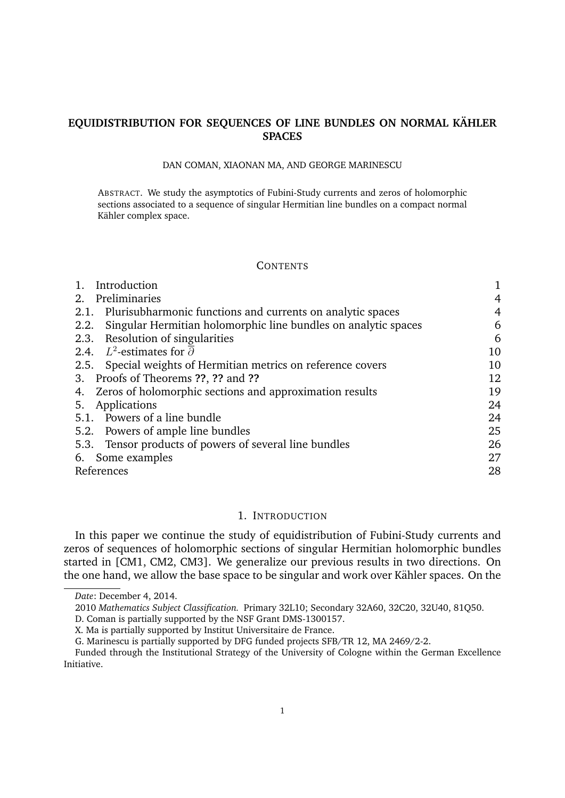# **EQUIDISTRIBUTION FOR SEQUENCES OF LINE BUNDLES ON NORMAL KAHLER ¨ SPACES**

#### DAN COMAN, XIAONAN MA, AND GEORGE MARINESCU

ABSTRACT. We study the asymptotics of Fubini-Study currents and zeros of holomorphic sections associated to a sequence of singular Hermitian line bundles on a compact normal Kähler complex space.

#### **CONTENTS**

| Introduction                                                        |    |
|---------------------------------------------------------------------|----|
| Preliminaries<br>2.                                                 | 4  |
| 2.1. Plurisubharmonic functions and currents on analytic spaces     | 4  |
| 2.2. Singular Hermitian holomorphic line bundles on analytic spaces | 6  |
| 2.3. Resolution of singularities                                    | 6  |
| 2.4. $L^2$ -estimates for $\overline{\partial}$                     | 10 |
| 2.5. Special weights of Hermitian metrics on reference covers       | 10 |
| 3. Proofs of Theorems ??, ?? and ??                                 | 12 |
| 4. Zeros of holomorphic sections and approximation results          | 19 |
| 5. Applications                                                     | 24 |
| 5.1. Powers of a line bundle                                        | 24 |
| 5.2. Powers of ample line bundles                                   | 25 |
| 5.3. Tensor products of powers of several line bundles              | 26 |
| 6. Some examples                                                    | 27 |
| References                                                          | 28 |

# 1. INTRODUCTION

In this paper we continue the study of equidistribution of Fubini-Study currents and zeros of sequences of holomorphic sections of singular Hermitian holomorphic bundles started in [CM1, CM2, CM3]. We generalize our previous results in two directions. On the one hand, we allow the base space to be singular and work over Kähler spaces. On the

*Date*: December 4, 2014.

<sup>2010</sup> *Mathematics Subject Classification.* Primary 32L10; Secondary 32A60, 32C20, 32U40, 81Q50.

D. Coman is partially supported by the NSF Grant DMS-1300157.

X. Ma is partially supported by Institut Universitaire de France.

G. Marinescu is partially supported by DFG funded projects SFB/TR 12, MA 2469/2-2.

Funded through the Institutional Strategy of the University of Cologne within the German Excellence Initiative.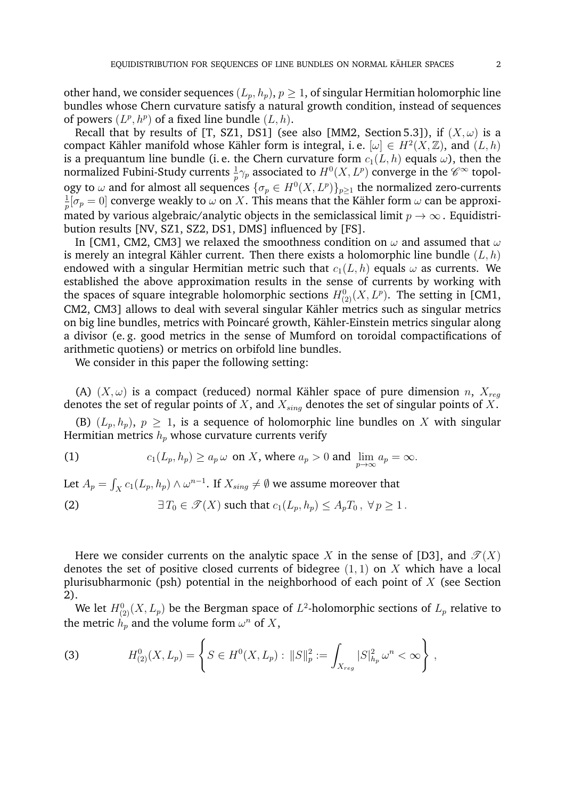other hand, we consider sequences  $(L_p, h_p)$ ,  $p \geq 1$ , of singular Hermitian holomorphic line bundles whose Chern curvature satisfy a natural growth condition, instead of sequences of powers  $(L^p, h^p)$  of a fixed line bundle  $(L, h)$ .

Recall that by results of [T, SZ1, DS1] (see also [MM2, Section 5.3]), if  $(X, \omega)$  is a compact Kähler manifold whose Kähler form is integral, i.e.  $[\omega] \in H^2(X, \mathbb{Z})$ , and  $(L, h)$ is a prequantum line bundle (i.e. the Chern curvature form  $c_1(L, h)$  equals  $\omega$ ), then the normalized Fubini-Study currents  $\frac{1}{p}\gamma_p$  associated to  $H^0(X,L^p)$  converge in the  $\mathscr{C}^{\infty}$  topology to  $\omega$  and for almost all sequences  $\{\sigma_p \in H^0(X, L^p)\}_{p \geq 1}$  the normalized zero-currents 1  $\frac{1}{p}[\sigma_p=0]$  converge weakly to  $\omega$  on  $X.$  This means that the Kähler form  $\omega$  can be approximated by various algebraic/analytic objects in the semiclassical limit  $p \to \infty$ . Equidistribution results [NV, SZ1, SZ2, DS1, DMS] influenced by [FS].

In [CM1, CM2, CM3] we relaxed the smoothness condition on  $\omega$  and assumed that  $\omega$ is merely an integral Kähler current. Then there exists a holomorphic line bundle  $(L, h)$ endowed with a singular Hermitian metric such that  $c_1(L, h)$  equals  $\omega$  as currents. We established the above approximation results in the sense of currents by working with the spaces of square integrable holomorphic sections  $H^0_{(2)}(X,L^p)$ . The setting in [CM1, CM2, CM3] allows to deal with several singular Kähler metrics such as singular metrics on big line bundles, metrics with Poincaré growth, Kähler-Einstein metrics singular along a divisor (e. g. good metrics in the sense of Mumford on toroidal compactifications of arithmetic quotiens) or metrics on orbifold line bundles.

We consider in this paper the following setting:

(A)  $(X, \omega)$  is a compact (reduced) normal Kähler space of pure dimension n,  $X_{req}$ denotes the set of regular points of  $X$ , and  $X_{sing}$  denotes the set of singular points of  $X$ .

(B)  $(L_p, h_p)$ ,  $p \geq 1$ , is a sequence of holomorphic line bundles on X with singular Hermitian metrics  $h_p$  whose curvature currents verify

(1) 
$$
c_1(L_p, h_p) \ge a_p \omega \text{ on } X, \text{ where } a_p > 0 \text{ and } \lim_{p \to \infty} a_p = \infty.
$$

Let  $A_p = \int_X c_1(L_p,h_p) \wedge \omega^{n-1}.$  If  $X_{sing} \neq \emptyset$  we assume moreover that

(2) 
$$
\exists T_0 \in \mathcal{F}(X) \text{ such that } c_1(L_p, h_p) \leq A_p T_0, \ \forall p \geq 1.
$$

Here we consider currents on the analytic space X in the sense of [D3], and  $\mathcal{T}(X)$ denotes the set of positive closed currents of bidegree  $(1, 1)$  on X which have a local plurisubharmonic (psh) potential in the neighborhood of each point of  $X$  (see Section 2).

We let  $H^0_{(2)}(X,L_p)$  be the Bergman space of  $L^2\text{-holomorphic sections of }L_p$  relative to the metric  $h_p$  and the volume form  $\omega^n$  of  $X$ ,

(3) 
$$
H^0_{(2)}(X,L_p) = \left\{ S \in H^0(X,L_p) : ||S||_p^2 := \int_{X_{reg}} |S|_{h_p}^2 \omega^n < \infty \right\},
$$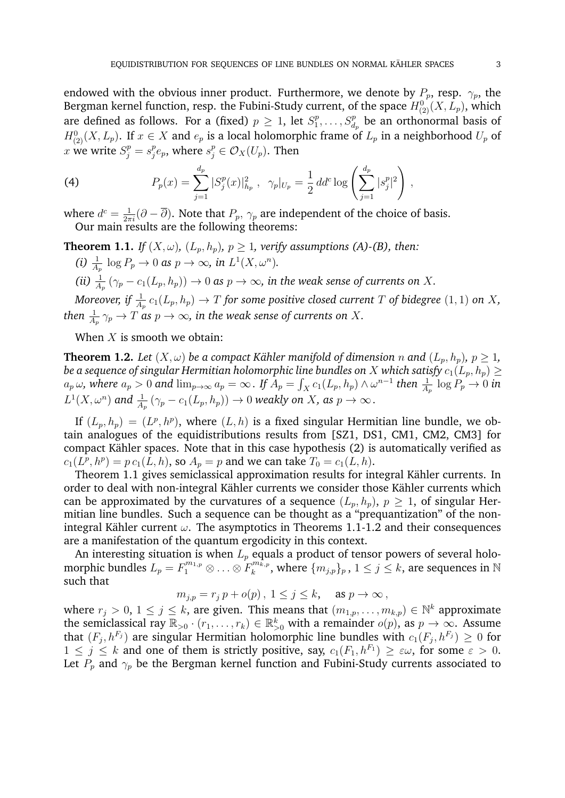endowed with the obvious inner product. Furthermore, we denote by  $P_p$ , resp.  $\gamma_p$ , the Bergman kernel function, resp. the Fubini-Study current, of the space  $H^0_{(2)}(X, L_p)$ , which are defined as follows. For a (fixed)  $p \geq 1$ , let  $S_1^p$  $S_1^p, \ldots, S_{d_p}^p$  be an orthonormal basis of  $H^0_{(2)}(X,L_p)$ . If  $x \in X$  and  $e_p$  is a local holomorphic frame of  $L_p$  in a neighborhood  $U_p$  of  $x$  we write  $S_j^p = s_j^p$  $j^p e_p$ , where  $s_j^p \in \mathcal{O}_X(U_p)$ . Then

(4) 
$$
P_p(x) = \sum_{j=1}^{d_p} |S_j^p(x)|_{h_p}^2, \quad \gamma_p|_{U_p} = \frac{1}{2} \, dd^c \log \left( \sum_{j=1}^{d_p} |s_j^p|^2 \right),
$$

where  $d^c = \frac{1}{2\pi i} (\partial - \overline{\partial})$ . Note that  $P_p$ ,  $\gamma_p$  are independent of the choice of basis. Our main results are the following theorems:

**Theorem 1.1.** *If*  $(X, \omega)$ *,*  $(L_p, h_p)$ *,*  $p \geq 1$ *, verify assumptions (A)-(B), then:* (i)  $\frac{1}{A_p} \log P_p \to 0$  as  $p \to \infty$ , in  $L^1(X, \omega^n)$ . (*ii*)  $\frac{1}{A_p}(\gamma_p - c_1(L_p,h_p)) \to 0$  as  $p \to \infty$ , *in the weak sense of currents on X*.

Moreover, if  $\frac{1}{A_p}$   $c_1(L_p,h_p)\rightarrow T$  for some positive closed current  $T$  of bidegree  $(1,1)$  on  $X$ , then  $\frac{1}{A_p} \gamma_p \to T$  as  $p \to \infty$ , in the weak sense of currents on  $X.$ 

When  $X$  is smooth we obtain:

**Theorem 1.2.** Let  $(X, \omega)$  be a compact Kähler manifold of dimension *n* and  $(L_p, h_p)$ ,  $p \ge 1$ , *be a sequence of singular Hermitian holomorphic line bundles on* X *which satisfy*  $c_1(L_p, h_p) \geq$  $a_p\,\omega$ , where  $a_p>0$  and  $\lim_{p\to\infty}a_p=\infty$  . If  $A_p=\int_Xc_1(L_p,h_p)\wedge\omega^{n-1}$  then  $\frac{1}{A_p}\,\log P_p\to 0$  in  $L^1(X,\omega^n)$  and  $\frac{1}{A_p}\left(\gamma_p - c_1(L_p,h_p)\right) \to 0$  weakly on  $X$ , as  $p \to \infty$  .

If  $(L_p, h_p) = (L^p, h^p)$ , where  $(L, h)$  is a fixed singular Hermitian line bundle, we obtain analogues of the equidistributions results from [SZ1, DS1, CM1, CM2, CM3] for compact Kähler spaces. Note that in this case hypothesis (2) is automatically verified as  $c_1(L^p, h^p) = p c_1(L, h)$ , so  $A_p = p$  and we can take  $T_0 = c_1(L, h)$ .

Theorem 1.1 gives semiclassical approximation results for integral Kähler currents. In order to deal with non-integral Kähler currents we consider those Kähler currents which can be approximated by the curvatures of a sequence  $(L_p, h_p)$ ,  $p \geq 1$ , of singular Hermitian line bundles. Such a sequence can be thought as a "prequantization" of the nonintegral Kähler current  $\omega$ . The asymptotics in Theorems 1.1-1.2 and their consequences are a manifestation of the quantum ergodicity in this context.

An interesting situation is when  $L_p$  equals a product of tensor powers of several holomorphic bundles  $L_p = F_1^{m_{1,p}} \otimes \ldots \otimes F_k^{m_{k,p}^*}$  $\lambda_{k}^{m\overline{k},p}$ , where  $\{m_{j,p}\}_{p}$  ,  $1\leq j\leq k$ , are sequences in  $\mathbb N$ such that

$$
m_{j,p} = r_j p + o(p), \ 1 \le j \le k, \quad \text{as } p \to \infty,
$$

where  $r_j > 0$ ,  $1 \leq j \leq k$ , are given. This means that  $(m_{1,p}, \ldots, m_{k,p}) \in \mathbb{N}^k$  approximate the semiclassical ray  $\mathbb{R}_{>0} \cdot (r_1, \ldots, r_k) \in \mathbb{R}_{>0}^k$  with a remainder  $o(p)$ , as  $p \to \infty$ . Assume that  $(F_j, h^{F_j})$  are singular Hermitian holomorphic line bundles with  $c_1(F_j, h^{F_j}) \geq 0$  for  $1 \leq j \leq k$  and one of them is strictly positive, say,  $c_1(F_1, h^{F_1}) \geq \varepsilon \omega$ , for some  $\varepsilon > 0$ . Let  $P_p$  and  $\gamma_p$  be the Bergman kernel function and Fubini-Study currents associated to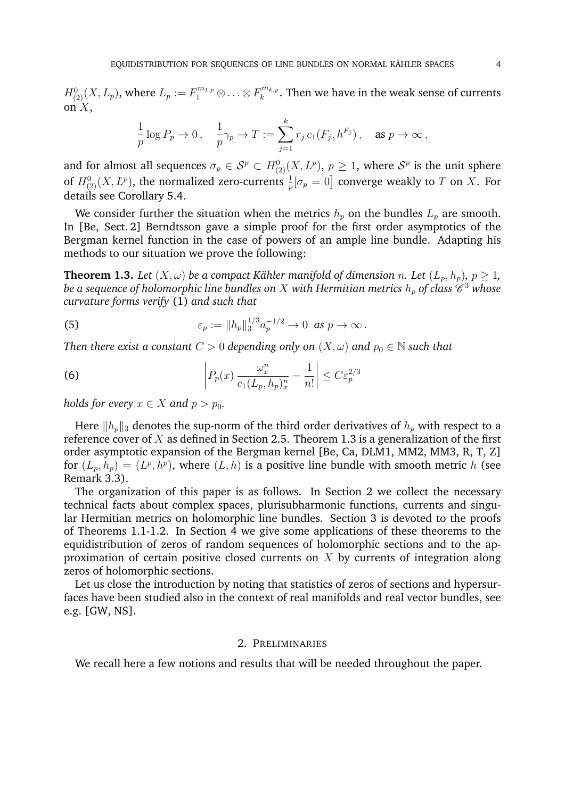$H^0_{(2)}(X,L_p)$ , where  $L_p:=F_1^{m_{1,p}}\otimes\ldots\otimes F_k^{m_{k,p}}$  $\mathbf{k}^{m k, p}_{k}$ . Then we have in the weak sense of currents on  $X$ ,

$$
\frac{1}{p}\log P_p\to 0\,,\quad \frac{1}{p}\gamma_p\to T:=\sum_{j=1}^k r_j\,c_1(F_j,h^{F_j})\,,\quad \text{as }p\to\infty\,,
$$

and for almost all sequences  $\sigma_p\in\mathcal{S}^p\subset H^0_{(2)}(X,L^p),\,p\geq 1,$  where  $\mathcal{S}^p$  is the unit sphere of  $H^0_{(2)}(X,L^p),$  the normalized zero-currents  $\frac{1}{p}[\sigma_p=0]$  converge weakly to  $T$  on  $X.$  For details see Corollary 5.4.

We consider further the situation when the metrics  $h_p$  on the bundles  $L_p$  are smooth. In [Be, Sect. 2] Berndtsson gave a simple proof for the first order asymptotics of the Bergman kernel function in the case of powers of an ample line bundle. Adapting his methods to our situation we prove the following:

**Theorem 1.3.** Let  $(X, \omega)$  be a compact Kähler manifold of dimension *n*. Let  $(L_n, h_n)$ ,  $p \geq 1$ , be a sequence of holomorphic line bundles on  $X$  with Hermitian metrics  $h_p$  of class  $\mathscr C^3$  whose *curvature forms verify* (1) *and such that*

(5) 
$$
\varepsilon_p := ||h_p||_3^{1/3} a_p^{-1/2} \to 0 \text{ as } p \to \infty.
$$

*Then there exist a constant*  $C > 0$  *depending only on*  $(X, \omega)$  *and*  $p_0 \in \mathbb{N}$  *such that* 

(6) 
$$
\left| P_p(x) \frac{\omega_x^n}{c_1(L_p, h_p)_x^n} - \frac{1}{n!} \right| \leq C \varepsilon_p^{2/3}
$$

*holds for every*  $x \in X$  *and*  $p > p_0$ *.* 

Here  $\|h_p\|_3$  denotes the sup-norm of the third order derivatives of  $h_p$  with respect to a reference cover of  $X$  as defined in Section 2.5. Theorem 1.3 is a generalization of the first order asymptotic expansion of the Bergman kernel [Be, Ca, DLM1, MM2, MM3, R, T, Z] for  $(L_p, h_p) = (L^p, h^p)$ , where  $(L, h)$  is a positive line bundle with smooth metric h (see Remark 3.3).

The organization of this paper is as follows. In Section 2 we collect the necessary technical facts about complex spaces, plurisubharmonic functions, currents and singular Hermitian metrics on holomorphic line bundles. Section 3 is devoted to the proofs of Theorems 1.1-1.2. In Section 4 we give some applications of these theorems to the equidistribution of zeros of random sequences of holomorphic sections and to the approximation of certain positive closed currents on  $X$  by currents of integration along zeros of holomorphic sections.

Let us close the introduction by noting that statistics of zeros of sections and hypersurfaces have been studied also in the context of real manifolds and real vector bundles, see e.g. [GW, NS].

## 2. PRELIMINARIES

We recall here a few notions and results that will be needed throughout the paper.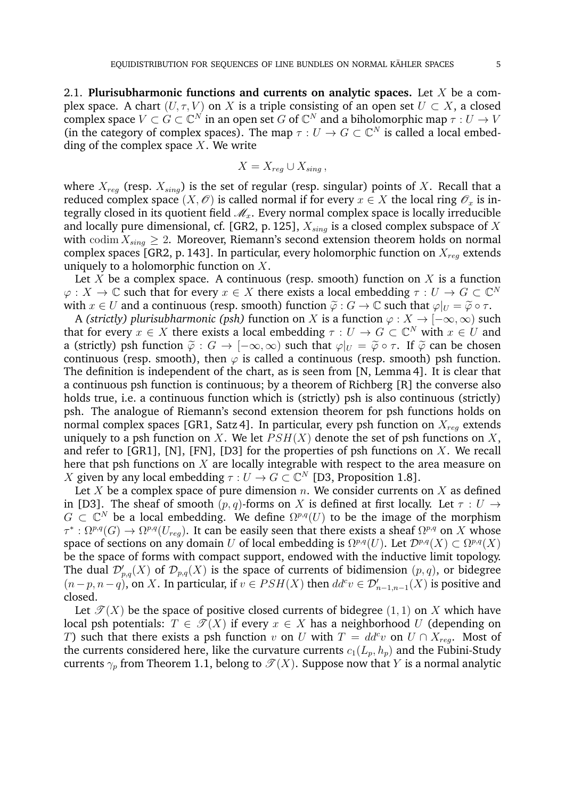2.1. **Plurisubharmonic functions and currents on analytic spaces.** Let X be a complex space. A chart  $(U, \tau, V)$  on X is a triple consisting of an open set  $U \subset X$ , a closed complex space  $V \subset G \subset \mathbb{C}^N$  in an open set  $G$  of  $\mathbb{C}^N$  and a biholomorphic map  $\tau : U \to V$ (in the category of complex spaces). The map  $\tau: U \to G \subset \mathbb{C}^N$  is called a local embedding of the complex space  $X$ . We write

$$
X = X_{reg} \cup X_{sing},
$$

where  $X_{req}$  (resp.  $X_{sino}$ ) is the set of regular (resp. singular) points of X. Recall that a reduced complex space  $(X, \mathcal{O})$  is called normal if for every  $x \in X$  the local ring  $\mathcal{O}_x$  is integrally closed in its quotient field  $\mathcal{M}_x$ . Every normal complex space is locally irreducible and locally pure dimensional, cf. [GR2, p. 125],  $X_{sing}$  is a closed complex subspace of X with codim  $X_{sing} \geq 2$ . Moreover, Riemann's second extension theorem holds on normal complex spaces [GR2, p. 143]. In particular, every holomorphic function on  $X_{rea}$  extends uniquely to a holomorphic function on  $X$ .

Let X be a complex space. A continuous (resp. smooth) function on  $X$  is a function  $\varphi: X \to \mathbb{C}$  such that for every  $x \in X$  there exists a local embedding  $\tau: U \to G \subset \mathbb{C}^N$ with  $x \in U$  and a continuous (resp. smooth) function  $\tilde{\varphi}: G \to \mathbb{C}$  such that  $\varphi|_U = \tilde{\varphi} \circ \tau$ .

A *(strictly) plurisubharmonic (psh)* function on X is a function  $\varphi : X \to [-\infty, \infty)$  such that for every  $x \in X$  there exists a local embedding  $\tau : U \to G \subset \mathbb{C}^N$  with  $x \in U$  and a (strictly) psh function  $\tilde{\varphi}: G \to [-\infty, \infty)$  such that  $\varphi|_U = \tilde{\varphi} \circ \tau$ . If  $\tilde{\varphi}$  can be chosen continuous (resp. smooth), then  $\varphi$  is called a continuous (resp. smooth) psh function. The definition is independent of the chart, as is seen from [N, Lemma 4]. It is clear that a continuous psh function is continuous; by a theorem of Richberg [R] the converse also holds true, i.e. a continuous function which is (strictly) psh is also continuous (strictly) psh. The analogue of Riemann's second extension theorem for psh functions holds on normal complex spaces [GR1, Satz 4]. In particular, every psh function on  $X_{req}$  extends uniquely to a psh function on X. We let  $PSH(X)$  denote the set of psh functions on X, and refer to [GR1], [N], [FN], [D3] for the properties of psh functions on  $X$ . We recall here that psh functions on  $X$  are locally integrable with respect to the area measure on X given by any local embedding  $\tau: U \to G \subset \mathbb{C}^N$  [D3, Proposition 1.8].

Let X be a complex space of pure dimension n. We consider currents on X as defined in [D3]. The sheaf of smooth  $(p, q)$ -forms on X is defined at first locally. Let  $\tau : U \rightarrow$  $G \subset \mathbb{C}^N$  be a local embedding. We define  $\Omega^{p,q}(U)$  to be the image of the morphism  $\tau^*:\Omega^{p,q}(G)\to \Omega^{p,q}(U_{reg})$ . It can be easily seen that there exists a sheaf  $\Omega^{p,q}$  on X whose space of sections on any domain U of local embedding is  $\Omega^{p,q}(U)$ . Let  $\mathcal{D}^{p,q}(X) \subset \Omega^{p,q}(X)$ be the space of forms with compact support, endowed with the inductive limit topology. The dual  $\mathcal{D}'_{p,q}(X)$  of  $\mathcal{D}_{p,q}(X)$  is the space of currents of bidimension  $(p,q)$ , or bidegree  $(n-p, n-q)$ , on X. In particular, if  $v \in PSH(X)$  then  $dd^c v \in \mathcal{D}'_{n-1,n-1}(X)$  is positive and closed.

Let  $\mathcal{T}(X)$  be the space of positive closed currents of bidegree (1, 1) on X which have local psh potentials:  $T \in \mathcal{T}(X)$  if every  $x \in X$  has a neighborhood U (depending on T) such that there exists a psh function v on U with  $T = dd^c v$  on  $U \cap X_{reg}$ . Most of the currents considered here, like the curvature currents  $c_1(L_p, h_p)$  and the Fubini-Study currents  $\gamma_p$  from Theorem 1.1, belong to  $\mathcal{T}(X)$ . Suppose now that Y is a normal analytic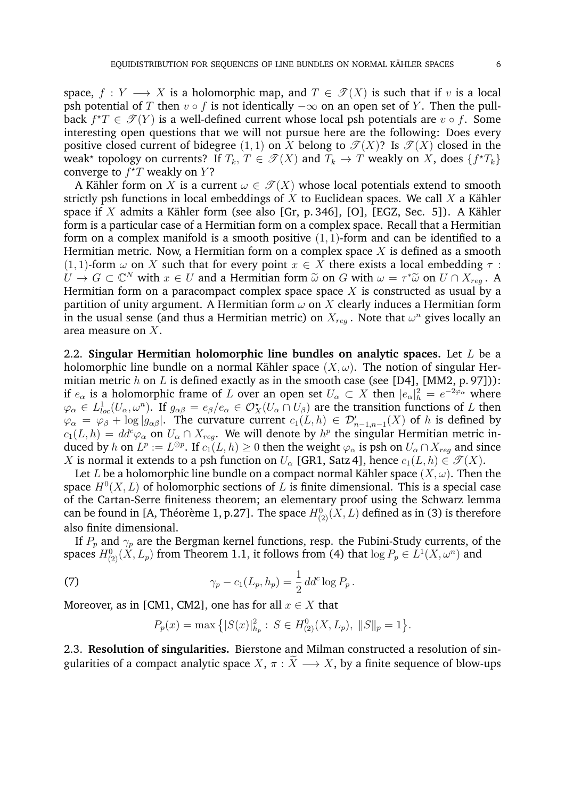space,  $f: Y \longrightarrow X$  is a holomorphic map, and  $T \in \mathcal{T}(X)$  is such that if v is a local psh potential of T then  $v \circ f$  is not identically  $-\infty$  on an open set of Y. Then the pullback  $f^{\star}T \in \mathscr{T}(Y)$  is a well-defined current whose local psh potentials are  $v \circ f$ . Some interesting open questions that we will not pursue here are the following: Does every positive closed current of bidegree (1, 1) on X belong to  $\mathcal{T}(X)$ ? Is  $\mathcal{T}(X)$  closed in the weak\* topology on currents? If  $T_k, T \in \mathscr{T}(X)$  and  $T_k \to T$  weakly on X, does  $\{f^{\star}T_k\}$ converge to  $f^{\star}T$  weakly on Y?

A Kähler form on X is a current  $\omega \in \mathcal{T}(X)$  whose local potentials extend to smooth strictly psh functions in local embeddings of  $X$  to Euclidean spaces. We call  $X$  a Kähler space if X admits a Kähler form (see also [Gr, p. 346], [O], [EGZ, Sec. 5]). A Kähler form is a particular case of a Hermitian form on a complex space. Recall that a Hermitian form on a complex manifold is a smooth positive  $(1, 1)$ -form and can be identified to a Hermitian metric. Now, a Hermitian form on a complex space  $X$  is defined as a smooth (1, 1)-form  $\omega$  on X such that for every point  $x \in X$  there exists a local embedding  $\tau$ :  $U \to G \subset \mathbb{C}^N$  with  $x \in U$  and a Hermitian form  $\tilde{\omega}$  on G with  $\omega = \tau^* \tilde{\omega}$  on  $U \cap X_{reg}$ . A Hermitian form on a paracompact complex space space X is constructed as usual by a Hermitian form on a paracompact complex space space X is constructed as usual by a partition of unity argument. A Hermitian form  $\omega$  on X clearly induces a Hermitian form in the usual sense (and thus a Hermitian metric) on  $X_{reg}$  . Note that  $\omega^n$  gives locally an area measure on X.

2.2. **Singular Hermitian holomorphic line bundles on analytic spaces.** Let L be a holomorphic line bundle on a normal Kähler space  $(X, \omega)$ . The notion of singular Hermitian metric  $h$  on  $L$  is defined exactly as in the smooth case (see [D4], [MM2, p. 97])): if  $e_\alpha$  is a holomorphic frame of L over an open set  $U_\alpha \subset X$  then  $|e_\alpha|^2_h = e^{-2\varphi_\alpha}$  where  $\varphi_\alpha\in L^1_{loc}(U_\alpha,\omega^n).$  If  $g_{\alpha\beta}=e_\beta/e_\alpha\in\mathcal{O}_X^\star(U_\alpha\cap U_\beta)$  are the transition functions of  $L$  then  $\varphi_{\alpha} = \varphi_{\beta} + \log |g_{\alpha\beta}|$ . The curvature current  $c_1(L, h) \in \mathcal{D}'_{n-1,n-1}(X)$  of h is defined by  $c_1(L, h) = dd^c \varphi_\alpha$  on  $U_\alpha \cap X_{reg}$ . We will denote by  $h^p$  the singular Hermitian metric induced by h on  $L^p:=L^{\otimes p}.$  If  $c_1(L, h)\geq 0$  then the weight  $\varphi_\alpha$  is psh on  $U_\alpha\cap X_{reg}$  and since X is normal it extends to a psh function on  $U_{\alpha}$  [GR1, Satz 4], hence  $c_1(L, h) \in \mathcal{T}(X)$ .

Let L be a holomorphic line bundle on a compact normal Kähler space  $(X, \omega)$ . Then the space  $H^0(X, L)$  of holomorphic sections of L is finite dimensional. This is a special case of the Cartan-Serre finiteness theorem; an elementary proof using the Schwarz lemma can be found in [A, Théorème 1, p.27]. The space  $H^0_{(2)}(X,L)$  defined as in (3) is therefore also finite dimensional.

If  $P_p$  and  $\gamma_p$  are the Bergman kernel functions, resp. the Fubini-Study currents, of the spaces  $H^0_{(2)}(X,L_p)$  from Theorem 1.1, it follows from (4) that  $\log P_p \in L^1(X,\omega^n)$  and

(7) 
$$
\gamma_p - c_1(L_p, h_p) = \frac{1}{2} \, dd^c \log P_p \, .
$$

Moreover, as in [CM1, CM2], one has for all  $x \in X$  that

$$
P_p(x) = \max\left\{ |S(x)|_{h_p}^2 : S \in H_{(2)}^0(X, L_p), ||S||_p = 1 \right\}.
$$

2.3. **Resolution of singularities.** Bierstone and Milman constructed a resolution of singularities of a compact analytic space  $X, \pi : \widetilde{X} \longrightarrow X$ , by a finite sequence of blow-ups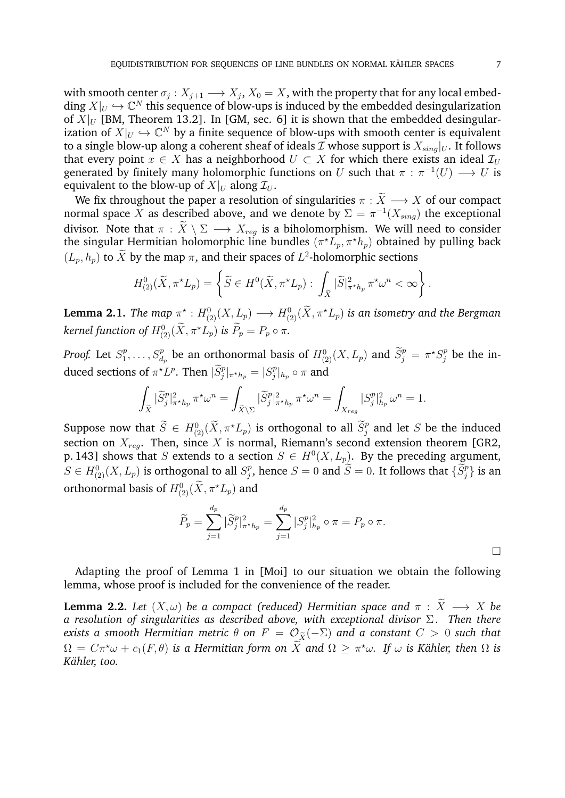with smooth center  $\sigma_j: X_{j+1} \longrightarrow X_j, X_0 = X,$  with the property that for any local embedding  $X|_U \hookrightarrow \mathbb{C}^N$  this sequence of blow-ups is induced by the embedded desingularization of  $X|_U$  [BM, Theorem 13.2]. In [GM, sec. 6] it is shown that the embedded desingularization of  $X|_U \hookrightarrow \mathbb{C}^N$  by a finite sequence of blow-ups with smooth center is equivalent to a single blow-up along a coherent sheaf of ideals  $\overline{\mathcal{I}}$  whose support is  $X_{sing}|_U$ . It follows that every point  $x \in X$  has a neighborhood  $U \subset X$  for which there exists an ideal  $\mathcal{I}_U$ generated by finitely many holomorphic functions on U such that  $\pi : \pi^{-1}(U) \longrightarrow U$  is equivalent to the blow-up of  $X|_U$  along  $\mathcal{I}_U$ .

We fix throughout the paper a resolution of singularities  $\pi : \widetilde{X} \longrightarrow X$  of our compact normal space  $X$  as described above, and we denote by  $\Sigma = \pi^{-1}(X_{sing})$  the exceptional divisor. Note that  $\pi : \tilde{X} \setminus \Sigma \longrightarrow X_{reg}$  is a biholomorphism. We will need to consider the singular Hermitian holomorphic line bundles  $(\pi^{\star} L_p, \pi^{\star} h_p)$  obtained by pulling back  $(L_p, h_p)$  to  $\tilde{X}$  by the map  $\pi$ , and their spaces of  $L^2$ -holomorphic sections

$$
H^0_{(2)}(\widetilde{X}, \pi^{\star}L_p) = \left\{ \widetilde{S} \in H^0(\widetilde{X}, \pi^{\star}L_p) : \int_{\widetilde{X}} |\widetilde{S}|^2_{\pi^{\star}h_p} \pi^{\star}\omega^n < \infty \right\}.
$$

**Lemma 2.1.** *The map*  $\pi^\star : H^0_{(2)}(X, L_p) \longrightarrow H^0_{(2)}(\tilde X, \pi^\star L_p)$  *is an isometry and the Bergman kernel function of*  $H^0_{(2)}(\tilde{X}, \pi^*L_p)$  *is*  $P_p = P_p \circ \pi$ *.* 

*Proof.* Let  $S_1^p$  $\tilde{S}_j^p$ ,...,  $S_{d_p}^p$  be an orthonormal basis of  $H^0_{(2)}(X, L_p)$  and  $\tilde{S}_j^p = \pi^{\star} S_j^p$  be the induced sections of  $\pi^{\star} L^p$ . Then  $|\widetilde{S}^p_j|_{\pi^{\star} h_p} = |S^p_j|$  $\int\limits_{j}^p \lvert h_p \circ \pi$  and

$$
\int_{\widetilde{X}} |\widetilde{S}_j^p|_{\pi^{\star}h_p}^2 \pi^{\star} \omega^n = \int_{\widetilde{X} \backslash \Sigma} |\widetilde{S}_j^p|_{\pi^{\star}h_p}^2 \pi^{\star} \omega^n = \int_{X_{reg}} |S_j^p|_{h_p}^2 \omega^n = 1.
$$

Suppose now that  $\widetilde{S} \in H^0_{(2)}(\widetilde{X}, \pi^* L_p)$  is orthogonal to all  $\widetilde{S}_j^p$  and let S be the induced section on  $X_{reg}$ . Then, since  $X$  is normal, Riemann's second extension theorem [GR2, p. 143] shows that S extends to a section  $S \in H^0(X, L_p)$ . By the preceding argument,  $S \in H_{(2)}^{0}(X, L_{p})$  is orthogonal to all  $S_{j}^{p}$  $j^p_j$ , hence  $S=0$  and  $\widetilde{S}=0$ . It follows that  $\{\widetilde{S}^p_j\}$  is an orthonormal basis of  $H^0_{(2)}(\tilde{X},\pi^{\star}L_p)$  and

$$
\widetilde{P}_p = \sum_{j=1}^{d_p} |\widetilde{S}_j^p|_{\pi^* h_p}^2 = \sum_{j=1}^{d_p} |S_j^p|_{h_p}^2 \circ \pi = P_p \circ \pi.
$$

Adapting the proof of Lemma 1 in [Moi] to our situation we obtain the following lemma, whose proof is included for the convenience of the reader.

**Lemma 2.2.** *Let*  $(X, \omega)$  *be a compact (reduced) Hermitian space and*  $\pi : \tilde{X} \longrightarrow X$  *be a resolution of singularities as described above, with exceptional divisor* Σ. Then there *exists a smooth Hermitian metric*  $\theta$  *on*  $F = \mathcal{O}_{\widetilde{X}}(-\Sigma)$  *and a constant*  $C > 0$  *such that*  $\Omega\,=\,C\pi^{\star}\omega+c_{1}(F,\theta)$  is a Hermitian form on  $\bar{X}$  and  $\Omega\,\geq\,\pi^{\star}\omega.$  If  $\omega$  is Kähler, then  $\Omega$  is *Kahler, too. ¨*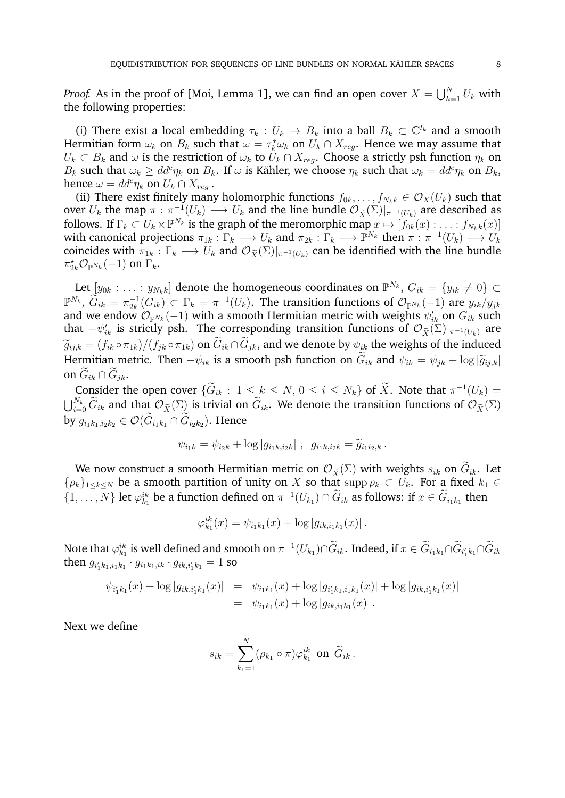*Proof.* As in the proof of [Moi, Lemma 1], we can find an open cover  $X = \bigcup_{k=1}^N U_k$  with the following properties:

(i) There exist a local embedding  $\tau_k : U_k \to B_k$  into a ball  $B_k \subset \mathbb{C}^{l_k}$  and a smooth Hermitian form  $\omega_k$  on  $B_k$  such that  $\omega = \tau_k^* \omega_k$  on  $U_k \cap X_{reg}$ . Hence we may assume that  $U_k \subset B_k$  and  $\omega$  is the restriction of  $\omega_k$  to  $U_k \cap X_{reg}$ . Choose a strictly psh function  $\eta_k$  on  $B_k$  such that  $\omega_k \ge dd^c \eta_k$  on  $B_k$ . If  $\omega$  is Kähler, we choose  $\eta_k$  such that  $\omega_k = dd^c \eta_k$  on  $B_k$ , hence  $\omega = dd^c \eta_k$  on  $U_k \cap X_{reg}$ .

(ii) There exist finitely many holomorphic functions  $f_{0k}, \ldots, f_{N_k k} \in \mathcal{O}_X(U_k)$  such that over  $U_k$  the map  $\pi : \pi^{-1}(U_k) \longrightarrow U_k$  and the line bundle  $\mathcal{O}_{\tilde{X}}(\Sigma)|_{\pi^{-1}(U_k)}$  are described as follows. If  $\Gamma_k\subset U_k\times\mathbb P^{N_k}$  is the graph of the meromorphic map  $x\mapsto [f_{0k}(x):\ldots:f_{N_kk}(x)]$ with canonical projections  $\pi_{1k} : \Gamma_k \longrightarrow U_k$  and  $\pi_{2k} : \Gamma_k \longrightarrow \mathbb{P}^{N_k}$  then  $\pi : \pi^{-1}(U_k) \longrightarrow U_k$ coincides with  $\pi_{1k}: \Gamma_k \longrightarrow U_k$  and  $\mathcal{O}_{\widetilde{X}}(\Sigma)|_{\pi^{-1}(U_k)}$  can be identified with the line bundle  $\pi_{2k}^{\star}\mathcal{O}_{\mathbb{P}^{N_k}}(-1)$  on  $\Gamma_k$ .

Let  $[y_{0k}:\ldots:y_{N_kk}]$  denote the homogeneous coordinates on  $\mathbb{P}^{N_k},$   $G_{ik}=\{y_{ik}\neq 0\}\subset$  $\mathbb{P}^{N_k},\ \widetilde{G}_{ik}=\pi_{2k}^{-1}$  $C_{2k}^{-1}(G_{ik})\subset \Gamma_k=\pi^{-1}(U_k).$  The transition functions of  $\mathcal{O}_{\mathbb{P}^{N_k}}(-1)$  are  $y_{ik}/y_{jk}$ and we endow  $\mathcal{O}_{\mathbb{P}^{N_k}}(-1)$  with a smooth Hermitian metric with weights  $\psi'_{ik}$  on  $G_{ik}$  such that  $-\psi'_{ik}$  is strictly psh. The corresponding transition functions of  $\mathcal{O}_{\tilde{X}}(\Sigma)|_{\pi^{-1}(U_k)}$  are  $\widetilde{g}_{ijk} = (f_{ik} \circ \pi_{1k})/(f_{jk} \circ \pi_{1k})$  on  $\widetilde{G}_{ik} \cap \widetilde{G}_{jk}$ , and we denote by  $\psi_{ik}$  the weights of the induced Hermitian metric. Then  $-\psi_{ik}$  is a smooth psh function on  $\tilde{G}_{ik}$  and  $\psi_{ik} = \psi_{ik} + \log |\tilde{g}_{i,k}|$ on  $G_{ik} \cap G_{ik}$ .

Consider the open cover  $\{\tilde{G}_{ik} : 1 \leq k \leq N, 0 \leq i \leq N_k\}$  of X. Note that  $\pi^{-1}(U_k) =$  $\bigcup_{i=0}^{N_k} \widetilde{G}_{ik}$  and that  $\mathcal{O}_{\widetilde{X}}(\Sigma)$  is trivial on  $\widetilde{G}_{ik}$ . We denote the transition functions of  $\mathcal{O}_{\widetilde{X}}(\Sigma)$ by  $g_{i_1k_1,i_2k_2}\in\mathcal{O}(G_{i_1k_1}\cap G_{i_2k_2}).$  Hence

$$
\psi_{i_1k} = \psi_{i_2k} + \log |g_{i_1k, i_2k}| , g_{i_1k, i_2k} = \widetilde{g}_{i_1i_2,k}.
$$

We now construct a smooth Hermitian metric on  $\mathcal{O}_{\widetilde{X}}(\Sigma)$  with weights  $s_{ik}$  on  $\widetilde{G}_{ik}$ . Let  $\{\rho_k\}_{1\leq k\leq N}$  be a smooth partition of unity on X so that supp  $\rho_k \subset U_k$ . For a fixed  $k_1 \in$  $\{1,\ldots,N\}$  let  $\varphi_{k_1}^{ik}$  be a function defined on  $\pi^{-1}(U_{k_1})\cap \tilde{G}_{ik}$  as follows: if  $x\in \tilde{G}_{i_1k_1}$  then

$$
\varphi_{k_1}^{ik}(x) = \psi_{i_1k_1}(x) + \log |g_{ik,i_1k_1}(x)|.
$$

Note that  $\varphi_{k_1}^{ik}$  is well defined and smooth on  $\pi^{-1}(U_{k_1})\cap \hat{G}_{ik}.$  Indeed, if  $x\in \hat{G}_{i_1k_1}\cap \hat{G}_{i'_1k_1}\cap \hat{G}_{ik}$ then  $g_{i_1'k_1,i_1k_1} \cdot g_{i_1k_1,ik} \cdot g_{ik,i_1'k_1} = 1$  so

$$
\psi_{i'_1k_1}(x) + \log|g_{ik,i'_1k_1}(x)| = \psi_{i_1k_1}(x) + \log|g_{i'_1k_1,i_1k_1}(x)| + \log|g_{ik,i'_1k_1}(x)|
$$
  
=  $\psi_{i_1k_1}(x) + \log|g_{ik,i_1k_1}(x)|$ .

Next we define

$$
s_{ik} = \sum_{k_1=1}^N (\rho_{k_1} \circ \pi) \varphi_{k_1}^{ik} \text{ on } \widetilde{G}_{ik}.
$$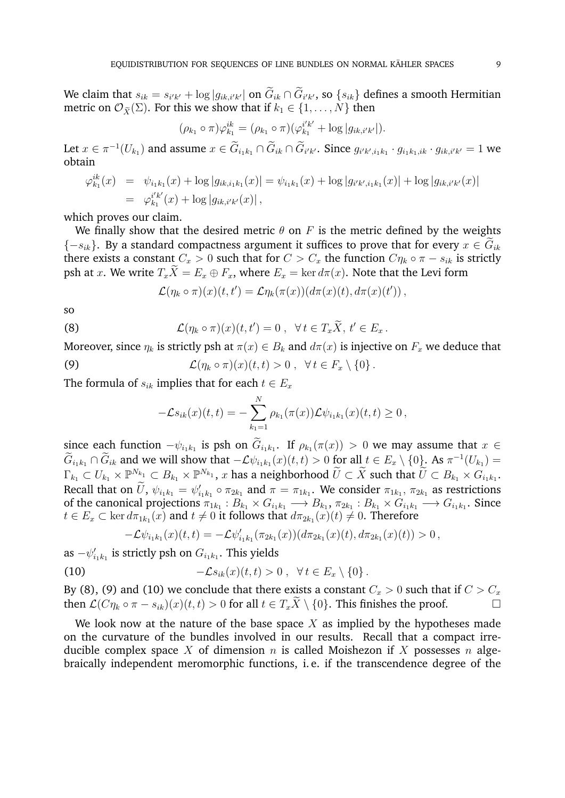We claim that  $s_{ik} = s_{i'k'} + \log |g_{ik,i'k'}|$  on  $G_{ik} \cap G_{i'k'}$ , so  $\{s_{ik}\}$  defines a smooth Hermitian metric on  $\mathcal{O}_{\tilde{X}}(\Sigma)$ . For this we show that if  $k_1 \in \{1, \ldots, N\}$  then

$$
(\rho_{k_1} \circ \pi) \varphi_{k_1}^{ik} = (\rho_{k_1} \circ \pi) (\varphi_{k_1}^{i'k'} + \log |g_{ik,i'k'}|).
$$

Let  $x \in \pi^{-1}(U_{k_1})$  and assume  $x \in \hat{G}_{i_1k_1} \cap \hat{G}_{ik} \cap \hat{G}_{i'k'}$ . Since  $g_{i'k',i_1k_1} \cdot g_{i_1k_1,ik} \cdot g_{ik,i'k'} = 1$  we obtain

$$
\varphi_{k_1}^{ik}(x) = \psi_{i_1k_1}(x) + \log|g_{ik,i_1k_1}(x)| = \psi_{i_1k_1}(x) + \log|g_{i'k',i_1k_1}(x)| + \log|g_{ik,i'k'}(x)|
$$
  
=  $\varphi_{k_1}^{i'k'}(x) + \log|g_{ik,i'k'}(x)|$ ,

which proves our claim.

We finally show that the desired metric  $\theta$  on F is the metric defined by the weights  ${-s_{ik}}$ . By a standard compactness argument it suffices to prove that for every  $x \in G_{ik}$ there exists a constant  $C_x > 0$  such that for  $C > C_x$  the function  $C_{\eta_k} \circ \pi - s_{ik}$  is strictly psh at x. We write  $T_x\tilde{X} = E_x \oplus F_x$ , where  $E_x = \ker d\pi(x)$ . Note that the Levi form

$$
\mathcal{L}(\eta_k \circ \pi)(x)(t,t') = \mathcal{L}\eta_k(\pi(x))(d\pi(x)(t),d\pi(x)(t'))\,,
$$

so

(8) 
$$
\mathcal{L}(\eta_k \circ \pi)(x)(t,t') = 0, \ \forall \, t \in T_x \widetilde{X}, t' \in E_x.
$$

Moreover, since  $\eta_k$  is strictly psh at  $\pi(x) \in B_k$  and  $d\pi(x)$  is injective on  $F_x$  we deduce that  $(1-\lambda)^{n+1}$  + 0 + +  $\epsilon$   $F \setminus 0$ .

(9) 
$$
\mathcal{L}(\eta_k \circ \pi)(x)(t,t) > 0, \quad \forall \, t \in F_x \setminus \{0\}
$$

The formula of  $s_{ik}$  implies that for each  $t \in E_x$ 

$$
-\mathcal{L}s_{ik}(x)(t,t) = -\sum_{k_1=1}^N \rho_{k_1}(\pi(x))\mathcal{L}\psi_{i_1k_1}(x)(t,t) \geq 0,
$$

since each function  $-\psi_{i_1k_1}$  is psh on  $G_{i_1k_1}$ . If  $\rho_{k_1}(\pi(x)) > 0$  we may assume that  $x \in \widetilde{\mathbb{R}}$  $\widetilde{G}_{i_1k_1} \cap \widetilde{G}_{ik}$  and we will show that  $-\mathcal{L}\psi_{i_1k_1}(x)(t,t) > 0$  for all  $t \in E_x \setminus \{0\}$ . As  $\pi^{-1}(U_{k_1}) =$  $\Gamma_{k_1}\subset U_{k_1}\times \mathbb P^{N_{k_1}}\subset B_{k_1}\times \mathbb P^{N_{k_1}},$   $x$  has a neighborhood  $\widetilde U\subset \widetilde X$  such that  $\widetilde U\subset B_{k_1}\times G_{i_1k_1}.$ Recall that on  $\tilde{U}$ ,  $\psi_{i_1k_1} = \psi'_{i_1k_1} \circ \pi_{2k_1}$  and  $\pi = \pi_{1k_1}$ . We consider  $\pi_{1k_1}$ ,  $\pi_{2k_1}$  as restrictions of the canonical projections  $\pi_{1k_1}:B_{k_1}\times G_{i_1k_1}\longrightarrow B_{k_1},\,\pi_{2k_1}:B_{k_1}\times G_{i_1k_1}\longrightarrow G_{i_1k_1}.$  Since  $t\in E_x\subset \ker d\pi_{1k_1}(x)$  and  $t\neq 0$  it follows that  $d\pi_{2k_1}(x)(t)\neq 0.$  Therefore

$$
-\mathcal{L}\psi_{i_1k_1}(x)(t,t)=-\mathcal{L}\psi'_{i_1k_1}(\pi_{2k_1}(x))(d\pi_{2k_1}(x)(t),d\pi_{2k_1}(x)(t))>0,
$$

as  $-\psi'_{i_1k_1}$  is strictly psh on  $G_{i_1k_1}$ . This yields

(10) 
$$
-\mathcal{L}s_{ik}(x)(t,t) > 0, \quad \forall t \in E_x \setminus \{0\}.
$$

By (8), (9) and (10) we conclude that there exists a constant  $C_x > 0$  such that if  $C > C_x$ then  $\mathcal{L}(C\eta_k \circ \pi - s_{ik})(x)(t, t) > 0$  for all  $t \in T_x\widetilde{X} \setminus \{0\}$ . This finishes the proof.

We look now at the nature of the base space  $X$  as implied by the hypotheses made on the curvature of the bundles involved in our results. Recall that a compact irreducible complex space X of dimension n is called Moishezon if X possesses n algebraically independent meromorphic functions, i. e. if the transcendence degree of the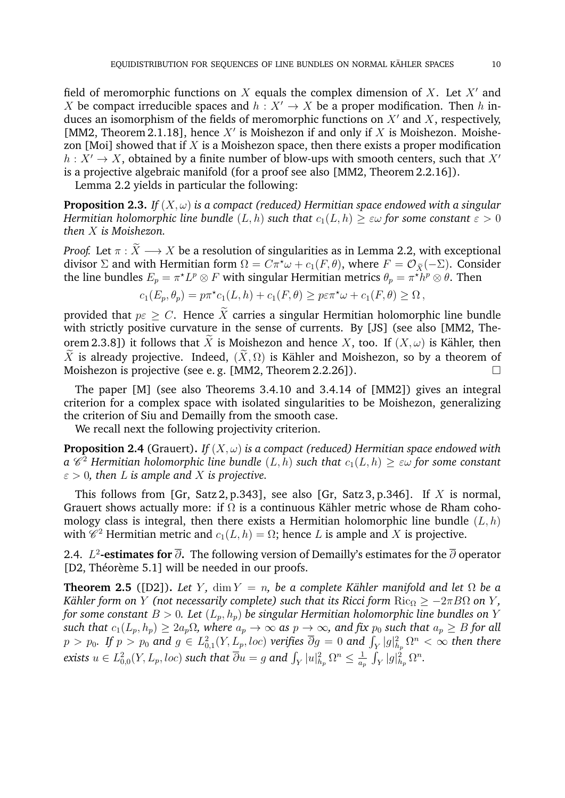field of meromorphic functions on X equals the complex dimension of X. Let  $X'$  and X be compact irreducible spaces and  $h: X' \to X$  be a proper modification. Then h induces an isomorphism of the fields of meromorphic functions on  $X'$  and X, respectively, [MM2, Theorem 2.1.18], hence  $X'$  is Moishezon if and only if  $X$  is Moishezon. Moishezon [Moi] showed that if  $X$  is a Moishezon space, then there exists a proper modification  $h: X' \to X$ , obtained by a finite number of blow-ups with smooth centers, such that X' is a projective algebraic manifold (for a proof see also [MM2, Theorem 2.2.16]).

Lemma 2.2 yields in particular the following:

**Proposition 2.3.** *If*  $(X, \omega)$  *is a compact (reduced) Hermitian space endowed with a singular Hermitian holomorphic line bundle*  $(L, h)$  *such that*  $c_1(L, h) \geq \varepsilon \omega$  *for some constant*  $\varepsilon > 0$ *then* X *is Moishezon.*

*Proof.* Let  $\pi : \widetilde{X} \longrightarrow X$  be a resolution of singularities as in Lemma 2.2, with exceptional divisor  $\Sigma$  and with Hermitian form  $\Omega = C\pi^* \omega + c_1(F, \theta)$ , where  $F = \mathcal{O}_{\tilde{Y}}(-\Sigma)$ . Consider the line bundles  $E_p=\pi^{\star}L^p\otimes F$  with singular Hermitian metrics  $\theta_p=\pi^{\star}\bar{h}^p\otimes\theta.$  Then

$$
c_1(E_p, \theta_p) = p\pi^{\star}c_1(L, h) + c_1(F, \theta) \geq p\varepsilon\pi^{\star}\omega + c_1(F, \theta) \geq \Omega,
$$

provided that  $p\epsilon \geq C$ . Hence  $\widetilde{X}$  carries a singular Hermitian holomorphic line bundle with strictly positive curvature in the sense of currents. By [JS] (see also [MM2, Theorem 2.3.8]) it follows that  $\widetilde{X}$  is Moishezon and hence X, too. If  $(X, \omega)$  is Kähler, then  $\widetilde{X}$  is already projective. Indeed,  $(\widetilde{X}, \Omega)$  is Kähler and Moishezon, so by a theorem of Moishezon is projective (see e. g. [MM2, Theorem 2.2.26]).

The paper [M] (see also Theorems 3.4.10 and 3.4.14 of [MM2]) gives an integral criterion for a complex space with isolated singularities to be Moishezon, generalizing the criterion of Siu and Demailly from the smooth case.

We recall next the following projectivity criterion.

**Proposition 2.4** (Grauert). *If*  $(X, \omega)$  *is a compact (reduced) Hermitian space endowed with*  $a \ \mathscr{C}^2$  Hermitian holomorphic line bundle  $(L,h)$  such that  $c_1(L,h) \geq \varepsilon \omega$  for some constant  $\varepsilon > 0$ , then L is ample and X is projective.

This follows from [Gr, Satz 2, p.343], see also [Gr, Satz 3, p.346]. If  $X$  is normal, Grauert shows actually more: if  $\Omega$  is a continuous Kähler metric whose de Rham cohomology class is integral, then there exists a Hermitian holomorphic line bundle  $(L, h)$ with  $\mathscr{C}^2$  Hermitian metric and  $c_1(L, h) = \Omega$ ; hence L is ample and X is projective.

2.4. *L*2-**estimates for** ∂ි. The following version of Demailly's estimates for the ∂ operator [D2, Théorème 5.1] will be needed in our proofs.

**Theorem 2.5** ([D2]). *Let Y*, dim  $Y = n$ , be a complete Kähler manifold and let  $\Omega$  be a *Kähler form on Y* (not necessarily complete) such that its Ricci form  $\text{Ric}_{\Omega} \ge -2\pi B\Omega$  on *Y*, *for some constant*  $B > 0$ . Let  $(L_p, h_p)$  *be singular Hermitian holomorphic line bundles on* Y *such that*  $c_1(L_p, h_p) \ge 2a_p\Omega$ , where  $a_p \to \infty$  *as*  $p \to \infty$ , and fix  $p_0$  *such that*  $a_p \ge B$  *for all*  $p>p_0.$  If  $p>p_0$  and  $g\in L^2_{0,1}(Y, L_p, loc)$  verifies  $\overline{\partial} g=0$  and  $\int_Y|g|^2_{h_p}\Omega^n<\infty$  then there exists  $u\in L^2_{0,0}(Y, L_p, loc)$  such that  $\overline{\partial} u = g$  and  $\int_Y |u|^2_{h_p} \Omega^n \leq \frac{1}{a_q}$  $\frac{1}{a_p} \int_Y |g|^2_{h_p} \Omega^n.$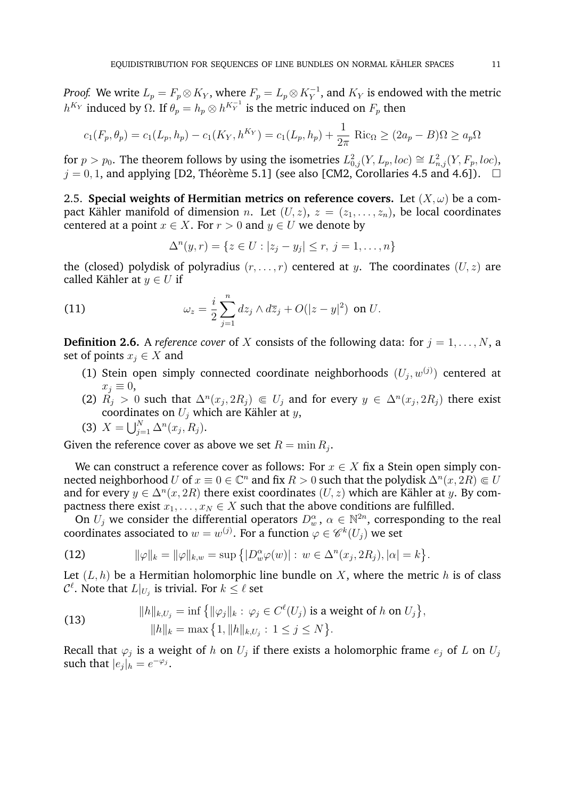*Proof.* We write  $L_p = F_p \otimes K_Y$ , where  $F_p = L_p \otimes K_Y^{-1}$ , and  $K_Y$  is endowed with the metric  $h^{K_Y}$  induced by Ω. If  $\theta_p = h_p \otimes h^{K_Y^{-1}}$  is the metric induced on  $F_p$  then

$$
c_1(F_p, \theta_p) = c_1(L_p, h_p) - c_1(K_Y, h^{K_Y}) = c_1(L_p, h_p) + \frac{1}{2\pi} \text{ Ric}_{\Omega} \ge (2a_p - B)\Omega \ge a_p \Omega
$$

for  $p > p_0$ . The theorem follows by using the isometries  $L^2_{0,j}(Y, L_p, loc) \cong L^2_{n,j}(Y, F_p, loc)$ ,  $j = 0, 1$ , and applying [D2, Théorème 5.1] (see also [CM2, Corollaries 4.5 and 4.6]).  $\Box$ 

2.5. **Special weights of Hermitian metrics on reference covers.** Let  $(X, \omega)$  be a compact Kähler manifold of dimension *n*. Let  $(U, z)$ ,  $z = (z_1, \ldots, z_n)$ , be local coordinates centered at a point  $x \in X$ . For  $r > 0$  and  $y \in U$  we denote by

$$
\Delta^{n}(y,r) = \{ z \in U : |z_j - y_j| \le r, \ j = 1, \dots, n \}
$$

the (closed) polydisk of polyradius  $(r, \ldots, r)$  centered at y. The coordinates  $(U, z)$  are called Kähler at  $y \in U$  if

(11) 
$$
\omega_z = \frac{i}{2} \sum_{j=1}^n dz_j \wedge d\overline{z}_j + O(|z-y|^2) \text{ on } U.
$$

**Definition 2.6.** A *reference cover* of X consists of the following data: for  $j = 1, \ldots, N$ , a set of points  $x_i \in X$  and

- (1) Stein open simply connected coordinate neighborhoods  $(U_j, w^{(j)})$  centered at  $x_i \equiv 0$ ,
- (2)  $R_j > 0$  such that  $\Delta^n(x_j, 2R_j) \in U_j$  and for every  $y \in \Delta^n(x_j, 2R_j)$  there exist coordinates on  $U_i$  which are Kähler at  $y$ ,

(3) 
$$
X = \bigcup_{j=1}^{N} \Delta^n(x_j, R_j).
$$

Given the reference cover as above we set  $R = \min R_j$ .

We can construct a reference cover as follows: For  $x \in X$  fix a Stein open simply connected neighborhood  $U$  of  $x\equiv 0\in\mathbb{C}^n$  and fix  $R>0$  such that the polydis $\tilde{\mathbf{k}}\,\Delta^n(x,2R)\Subset U$ and for every  $y \in \Delta^n(x, 2R)$  there exist coordinates  $(U, z)$  which are Kähler at y. By compactness there exist  $x_1, \ldots, x_N \in X$  such that the above conditions are fulfilled.

On  $U_j$  we consider the differential operators  $D_w^{\alpha}$ ,  $\alpha \in \mathbb{N}^{2n}$ , corresponding to the real coordinates associated to  $w=w^{(j)}.$  For a function  $\varphi\in\mathscr{C}^k(U_j)$  we set

(12) 
$$
\|\varphi\|_{k} = \|\varphi\|_{k,w} = \sup \{|D_{w}^{\alpha}\varphi(w)| : w \in \Delta^{n}(x_{j}, 2R_{j}), |\alpha| = k\}.
$$

Let  $(L, h)$  be a Hermitian holomorphic line bundle on X, where the metric h is of class  $\mathcal{C}^{\ell}.$  Note that  $L|_{U_j}$  is trivial. For  $k \leq \ell$  set

(13) 
$$
||h||_{k,U_j} = \inf \{ ||\varphi_j||_k : \varphi_j \in C^{\ell}(U_j) \text{ is a weight of } h \text{ on } U_j \},
$$

$$
||h||_k = \max \{ 1, ||h||_{k,U_j} : 1 \le j \le N \}.
$$

Recall that  $\varphi_j$  is a weight of  $h$  on  $U_j$  if there exists a holomorphic frame  $e_j$  of  $L$  on  $U_j$ such that  $|e_j|_h = e^{-\varphi_j}$ .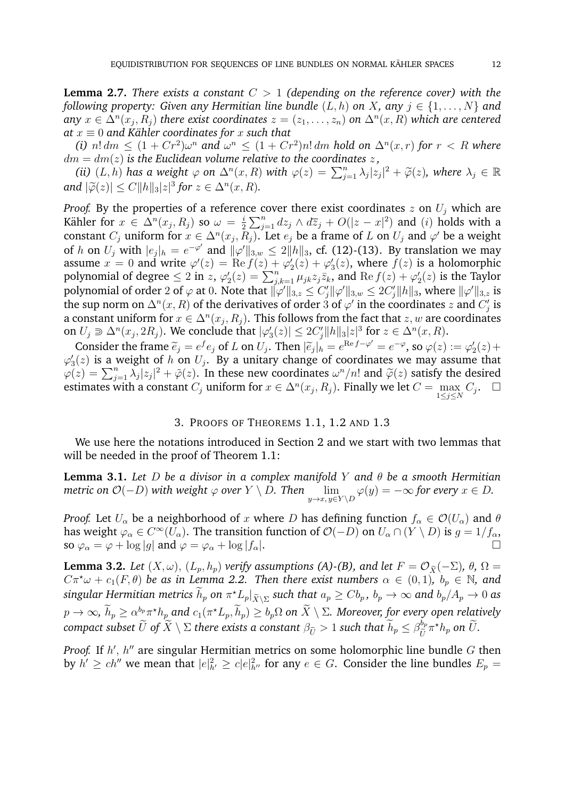**Lemma 2.7.** *There exists a constant* C > 1 *(depending on the reference cover) with the following property: Given any Hermitian line bundle*  $(L, h)$  *on* X, *any*  $j \in \{1, \ldots, N\}$  *and*  $\Delta^n(x_j,R_j)$  there exist coordinates  $z=(z_1,\ldots,z_n)$  on  $\Delta^n(x,R)$  which are centered *at*  $x \equiv 0$  *and Kähler coordinates for*  $x$  *such that* 

(*i*)  $n! dm \leq (1 + Cr^2)\omega^n$  and  $\omega^n \leq (1 + Cr^2)n! dm$  hold on  $\Delta^n(x,r)$  for  $r < R$  where  $dm = dm(z)$  *is the Euclidean volume relative to the coordinates*  $z$ ,

(*ii*)  $(L, h)$  *has a weight*  $\varphi$  *on*  $\Delta^n(x, R)$  *with*  $\varphi(z) = \sum_{j=1}^n \lambda_j |z_j|^2 + \widetilde{\varphi}(z)$ *, where*  $\lambda_j \in \mathbb{R}$ <br>d  $|\widetilde{\varphi}(x)| \le C ||h|| |z||^3$  for  $x \in \Delta^n(x, R)$ and  $|\widetilde{\varphi}(z)| \leq C ||h||_3 |z|^3$  for  $z \in \Delta^n(x,R)$ .

*Proof.* By the properties of a reference cover there exist coordinates  $z$  on  $U_j$  which are Kähler for  $x \in \Delta^n(x_j,R_j)$  so  $\omega = \frac{i}{2}$  $\frac{i}{2} \sum_{j=1}^{n} dz_j \wedge d\overline{z}_j + O(|z - x|^2)$  and  $(i)$  holds with a constant  $C_j$  uniform for  $x \in \Delta^n(x_j, R_j)$ . Let  $e_j$  be a frame of L on  $U_j$  and  $\varphi'$  be a weight of h on  $U_j$  with  $|e_j|_h = e^{-\varphi'}$  and  $\|\varphi'\|_{3,w} \le 2\|h\|_3$ , cf. (12)-(13). By translation we may assume  $x = 0$  and write  $\varphi'(z) = \text{Re } f(z) + \varphi'_2(z) + \varphi'_3(z)$ , where  $f(z)$  is a holomorphic polynomial of degree  $\leq 2$  in z,  $\varphi_2'(z) = \sum_{j,k=1}^n \mu_{jk} z_j \overline{z_k}$ , and  $\text{Re } f(z) + \varphi_2'(z)$  is the Taylor polynomial of order  $2$  of  $\varphi$  at  $0.$  Note that  $\|\varphi'\|_{3,z} \leq C'_j \|\varphi'\|_{3,w} \leq 2C'_j \|h\|_3,$  where  $\|\varphi'\|_{3,z}$  is the sup norm on  $\Delta^n(x,R)$  of the derivatives of order  $\mathring{3}$  of  $\varphi'$  in the coordinates  $z$  and  $C'_j$  is a constant uniform for  $x\in \Delta^n(x_j,R_j).$  This follows from the fact that  $z,w$  are coordinates on  $U_j \supseteq \Delta^n(x_j, 2R_j)$ . We conclude that  $|\varphi'_3(z)| \leq 2C'_j ||h||_3 |z|^3$  for  $z \in \Delta^n(x, R)$ .

Consider the frame  $\tilde{e}_j = e^f e_j$  of L on  $U_j$ . Then  $|\tilde{e}_j|_h = e^{\text{Re } f - \varphi'} = e^{-\varphi}$ , so  $\varphi(z) := \varphi_2'(z) + (z)$  is a weight of h on  $U_j$ . By a unitary change of coordinates we may assume that  $\varphi_3'(z)$  is a weight of h on  $U_j$ . By a unitary change of coordinates we may assume that  $\tilde{\varphi}(z) = \sum_{j=1}^n \lambda_j |z_j|^2 + \tilde{\varphi}(z)$ . In these new coordinates  $\omega^n/n!$  and  $\tilde{\varphi}(z)$  satisfy the desired estimates with a constant  $C$  uniform for  $x \in \Delta^n(x, B)$ . Finally we let  $C = \max_{\alpha} C$ estimates with a constant  $C_j$  uniform for  $x\in \Delta^n(x_j,R_j)$ . Finally we let  $C=\max\limits_{1\leq j\leq N}C_j.$ 

## 3. PROOFS OF THEOREMS 1.1, 1.2 AND 1.3

We use here the notations introduced in Section 2 and we start with two lemmas that will be needed in the proof of Theorem 1.1:

**Lemma 3.1.** *Let* D *be a divisor in a complex manifold* Y *and* θ *be a smooth Hermitian metric on O(−D) with weight*  $\varphi$  *over*  $Y \setminus D$ *. Then*  $\lim\limits_{y \to x, y \in Y \setminus D} \varphi(y) = -\infty$  *for every*  $x \in D$ *.* 

*Proof.* Let  $U_\alpha$  be a neighborhood of x where D has defining function  $f_\alpha \in \mathcal{O}(U_\alpha)$  and  $\theta$ has weight  $\varphi_\alpha\in C^\infty(U_\alpha).$  The transition function of  $\mathcal O(-D)$  on  $U_\alpha\cap (Y\setminus D)$  is  $g=1/f_\alpha,$ so  $\varphi_{\alpha} = \varphi + \log|g|$  and  $\varphi = \varphi_{\alpha} + \log|f_{\alpha}|$ .

**Lemma 3.2.** *Let*  $(X, \omega)$ ,  $(L_p, h_p)$  *verify assumptions (A)-(B), and let*  $F = \mathcal{O}_{\widetilde{X}}(-\Sigma)$ *,*  $\theta$ *,*  $\Omega =$  $C\pi^*\omega + c_1(F,\theta)$  be as in Lemma 2.2. Then there exist numbers  $\alpha \in (0,1)$ ,  $b_p \in \mathbb{N}$ , and  $s$ ingular Hermitian metrics  $\tilde{h}_p$  on  $\pi^\star L_p|_{\widetilde{X}\setminus\Sigma}$  such that  $a_p\geq Cb_p$  ,  $b_p\to\infty$  and  $b_p/A_p\to 0$  as  $p\to\infty$ ,  $h_p\geq \alpha^{b_p}\pi^\star h_p$  and  $c_1(\pi^\star L_p,h_p)\geq b_p\Omega$  on  $X\setminus\Sigma$ . Moreover, for every open relatively  $\emph{compact subset $\widetilde{U}$ of $\widetilde{X}\setminus \Sigma$ there exists a constant $\beta_{\widetilde{U}}>1$ such that $\widetilde{h}_p\leq \beta_{\widetilde{U}}^{b_p}$}$  $\overline{U}$  $\pi^* h_p$  on  $\widetilde{U}$ .

*Proof.* If  $h'$ ,  $h''$  are singular Hermitian metrics on some holomorphic line bundle  $G$  then by  $h' \ge ch''$  we mean that  $|e|^2_{h'} \ge c|e|^2_{h''}$  for any  $e \in G$ . Consider the line bundles  $E_p =$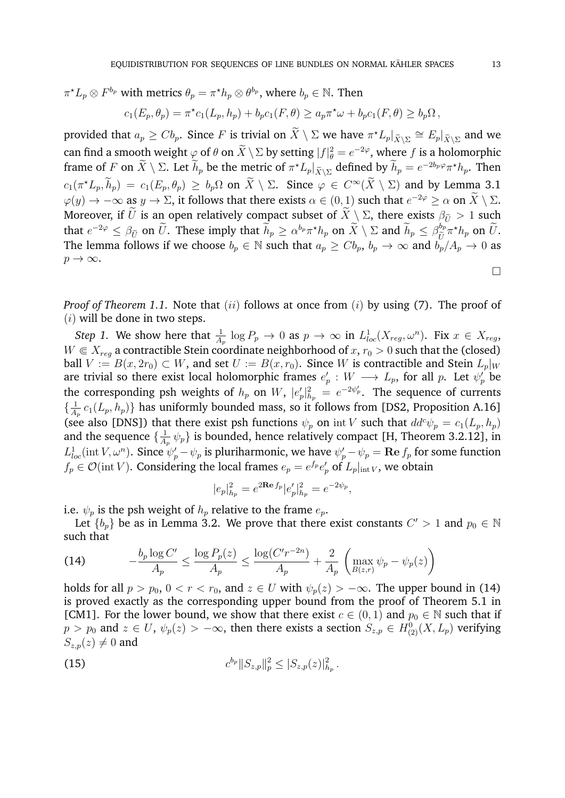$\pi^{\star}L_p \otimes F^{b_p}$  with metrics  $\theta_p = \pi^{\star}h_p \otimes \theta^{b_p}$ , where  $b_p \in \mathbb{N}$ . Then

$$
c_1(E_p, \theta_p) = \pi^* c_1(L_p, h_p) + b_p c_1(F, \theta) \ge a_p \pi^* \omega + b_p c_1(F, \theta) \ge b_p \Omega,
$$

provided that  $a_p \geq C b_p$ . Since F is trivial on  $\widetilde{X} \setminus \Sigma$  we have  $\pi^* L_p|_{\widetilde{X} \setminus \Sigma} \cong E_p|_{\widetilde{X} \setminus \Sigma}$  and we can find a smooth weight  $\varphi$  of  $\theta$  on  $\overline{X} \setminus \Sigma$  by setting  $|f|_{\theta}^2 = e^{-2\varphi}$ , where f is a holomorphic frame of F on  $\widetilde{X} \setminus \Sigma$ . Let  $\widetilde{h}_p$  be the metric of  $\pi^{\star} L_p|_{\widetilde{X} \setminus \Sigma}$  defined by  $\widetilde{h}_p = e^{-2b_p \varphi} \pi^{\star} h_p$ . Then  $c_1(\pi^* L_p, h_p) = c_1(E_p, \theta_p) \geq b_p \Omega$  on  $\widetilde{X} \setminus \Sigma$ . Since  $\varphi \in C^\infty(\widetilde{X} \setminus \Sigma)$  and by Lemma 3.1  $\varphi(y) \to -\infty$  as  $y \to \Sigma$ , it follows that there exists  $\alpha \in (0,1)$  such that  $e^{-2\varphi} \geq \alpha$  on  $\widetilde{X} \setminus \Sigma$ . Moreover, if  $\tilde{U}$  is an open relatively compact subset of  $\tilde{X}\setminus \Sigma$ , there exists  $\beta_{\tilde{U}}>1$  such that  $e^{-2\varphi} \leq \beta_{\widetilde{U}}$  on  $\widetilde{U}$ . These imply that  $\widetilde{h}_p \geq \alpha^{b_p} \pi^* h_p$  on  $\widetilde{X} \setminus \Sigma$  and  $\widetilde{h}_p \leq \beta_{\widetilde{U}}^{b_p} \pi^* h_p$  on  $\widetilde{U}$ . The lemma follows if we choose  $b_p \in \mathbb{N}$  such that  $a_p \ge Cb_p$ ,  $b_p \to \infty$  and  $b_p/A_p \to 0$  as  $p \rightarrow \infty$ .

*Proof of Theorem 1.1.* Note that (ii) follows at once from (i) by using (7). The proof of  $(i)$  will be done in two steps.

*Step 1.* We show here that  $\frac{1}{A_p} \log P_p \to 0$  as  $p \to \infty$  in  $L^1_{loc}(X_{reg}, \omega^n)$ . Fix  $x \in X_{reg}$ ,  $W \in X_{req}$  a contractible Stein coordinate neighborhood of  $x, r_0 > 0$  such that the (closed) ball  $V := B(x, 2r_0) \subset W$ , and set  $U := B(x, r_0)$ . Since W is contractible and Stein  $L_p|_W$ are trivial so there exist local holomorphic frames  $e'_p : W \longrightarrow L_p,$  for all  $p$ . Let  $\psi'_p$  be the corresponding psh weights of  $h_p$  on  $W$ ,  $|e_p'|_{h_p}^2 = e^{-2\psi_p'}$ . The sequence of currents  $\frac{1}{4}$  $\frac{1}{A_p} \, c_1(L_p,h_p) \}$  has uniformly bounded mass, so it follows from [DS2, Proposition A.16] (see also [DNS]) that there exist psh functions  $\psi_p$  on int V such that  $dd^c \psi_p = c_1(L_p, h_p)$ and the sequence  $\{\frac{1}{4}\}$  $\frac{1}{A_p}$   $\psi_p$ } is bounded, hence relatively compact [H, Theorem 3.2.12], in  $L^1_{loc}(\rm{int}\,V,\omega^n)$ . Since  $\psi'_p-\psi_p$  is pluriharmonic, we have  $\psi'_p-\psi_p={\bf Re}\,f_p$  for some function  $f_p \in \mathcal{O}(\text{int } V)$ . Considering the local frames  $e_p = e^{f_p} e'_p$  of  $L_p|_{\text{int } V}$ , we obtain

$$
|e_p|^2_{h_p} = e^{2\mathbf{Re}\,f_p}|e'_p|^2_{h_p} = e^{-2\psi_p},
$$

i.e.  $\psi_p$  is the psh weight of  $h_p$  relative to the frame  $e_p$ .

Let  $\{b_p\}$  be as in Lemma 3.2. We prove that there exist constants  $C'>1$  and  $p_0\in\mathbb{N}$ such that

(14) 
$$
-\frac{b_p \log C'}{A_p} \le \frac{\log P_p(z)}{A_p} \le \frac{\log (C'r^{-2n})}{A_p} + \frac{2}{A_p} \left( \max_{B(z,r)} \psi_p - \psi_p(z) \right)
$$

holds for all  $p > p_0$ ,  $0 < r < r_0$ , and  $z \in U$  with  $\psi_p(z) > -\infty$ . The upper bound in (14) is proved exactly as the corresponding upper bound from the proof of Theorem 5.1 in [CM1]. For the lower bound, we show that there exist  $c \in (0,1)$  and  $p_0 \in \mathbb{N}$  such that if  $p > p_0$  and  $z \in U$ ,  $\psi_p(z) > -\infty$ , then there exists a section  $S_{z,p} \in H^0_{(2)}(X, L_p)$  verifying  $S_{z,p}(z) \neq 0$  and

(15) 
$$
c^{b_p} \|S_{z,p}\|_p^2 \leq |S_{z,p}(z)|_{h_p}^2.
$$

 $\Box$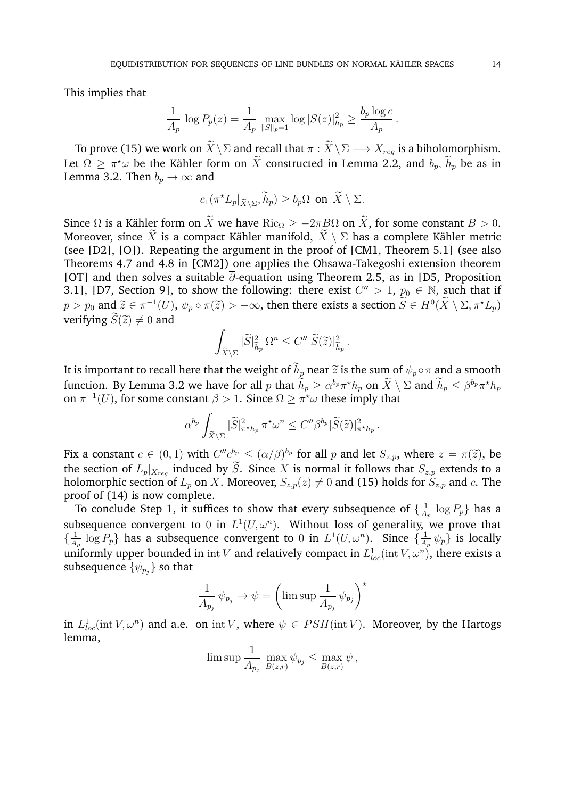This implies that

$$
\frac{1}{A_p} \log P_p(z) = \frac{1}{A_p} \max_{\|S\|_p = 1} \log |S(z)|_{h_p}^2 \ge \frac{b_p \log c}{A_p}.
$$

To prove (15) we work on  $\widetilde{X}\setminus \Sigma$  and recall that  $\pi : \widetilde{X}\setminus \Sigma \longrightarrow X_{reg}$  is a biholomorphism. Let  $\Omega \geq \pi^* \omega$  be the Kähler form on  $\overline{X}$  constructed in Lemma 2.2, and  $b_p$ ,  $\overline{h}_p$  be as in Lemma 3.2. Then  $b_p \to \infty$  and

$$
c_1(\pi^{\star}L_p|_{\widetilde{X}\setminus\Sigma},\widetilde{h}_p)\geq b_p\Omega \text{ on }\widetilde{X}\setminus\Sigma.
$$

Since  $\Omega$  is a Kähler form on  $\widetilde{X}$  we have  $\text{Ric}_{\Omega} \ge -2\pi B\Omega$  on  $\widetilde{X}$ , for some constant  $B > 0$ . Moreover, since  $\widetilde{X}$  is a compact Kähler manifold,  $\widetilde{X} \setminus \Sigma$  has a complete Kähler metric (see [D2], [O]). Repeating the argument in the proof of [CM1, Theorem 5.1] (see also Theorems 4.7 and 4.8 in [CM2]) one applies the Ohsawa-Takegoshi extension theorem [OT] and then solves a suitable  $\overline{\partial}$ -equation using Theorem 2.5, as in [D5, Proposition 3.1], [D7, Section 9], to show the following: there exist  $C'' > 1$ ,  $p_0 \in \mathbb{N}$ , such that if  $p > p_0$  and  $\widetilde{z} \in \pi^{-1}(U)$ ,  $\psi_p \circ \pi(\widetilde{z}) > -\infty$ , then there exists a section  $\widetilde{S} \in H^0(\widetilde{X} \setminus \Sigma, \pi^* L_p)$ verifying  $\widetilde{S}(\widetilde{z})\neq 0$  and

$$
\int_{\widetilde{X}\backslash\Sigma} |\widetilde{S}|_{\widetilde{h}_p}^2 \Omega^n \le C'' |\widetilde{S}(\widetilde{z})|_{\widetilde{h}_p}^2.
$$

It is important to recall here that the weight of  $\widetilde{h}_p$  near  $\widetilde{z}$  is the sum of  $\psi_p \circ \pi$  and a smooth function. By Lemma 3.2 we have for all p that  $h_p \ge \alpha^{b_p} \pi^* h_p$  on  $\overline{X} \setminus \Sigma$  and  $\overline{h}_p \le \beta^{b_p} \pi^* h_p$ on  $\pi^{-1}(U)$ , for some constant  $\beta > 1$ . Since  $\Omega \geq \pi^{\star}\omega$  these imply that

$$
\alpha^{b_p} \int_{\widetilde{X} \backslash \Sigma} |\widetilde{S}|^2_{\pi^* h_p} \pi^* \omega^n \leq C'' \beta^{b_p} |\widetilde{S}(\widetilde{z})|^2_{\pi^* h_p}.
$$

Fix a constant  $c \in (0,1)$  with  $C''c^{b_p} \leq (\alpha/\beta)^{b_p}$  for all p and let  $S_{z,p}$ , where  $z = \pi(\tilde{z})$ , be the section of  $L_p|_{X_{reg}}$  induced by S. Since X is normal it follows that  $S_{z,p}$  extends to a holomorphic section of  $L_p$  on X. Moreover,  $S_{z,p}(z) \neq 0$  and (15) holds for  $S_{z,p}$  and c. The proof of (14) is now complete.

To conclude Step 1, it suffices to show that every subsequence of  $\{\frac{1}{4}\}$  $\frac{1}{A_p}\log P_p\}$  has a subsequence convergent to 0 in  $L^1(U, \omega^n)$ . Without loss of generality, we prove that  $\frac{1}{4}$  $\frac{1}{A_p} \log P_p$ } has a subsequence convergent to 0 in  $L^1(U, \omega^n)$ . Since  $\{\frac{1}{A_p} \log P_p\}$  $\frac{1}{A_p} \psi_p$ } is locally uniformly upper bounded in  $\mathrm{int} V$  and relatively compact in  $L^1_{loc}(\mathrm{int} V, \omega^n)$ , there exists a subsequence  $\{\psi_{p_j}\}$  so that

$$
\frac{1}{A_{p_j}} \psi_{p_j} \to \psi = \left(\limsup \frac{1}{A_{p_j}} \psi_{p_j}\right)^{\star}
$$

in  $L^1_{loc}(\text{int }V,\omega^n)$  and a.e. on  $\text{int }V$ , where  $\psi \in PSH(\text{int }V)$ . Moreover, by the Hartogs lemma,

$$
\limsup \frac{1}{A_{p_j}} \max_{B(z,r)} \psi_{p_j} \le \max_{B(z,r)} \psi,
$$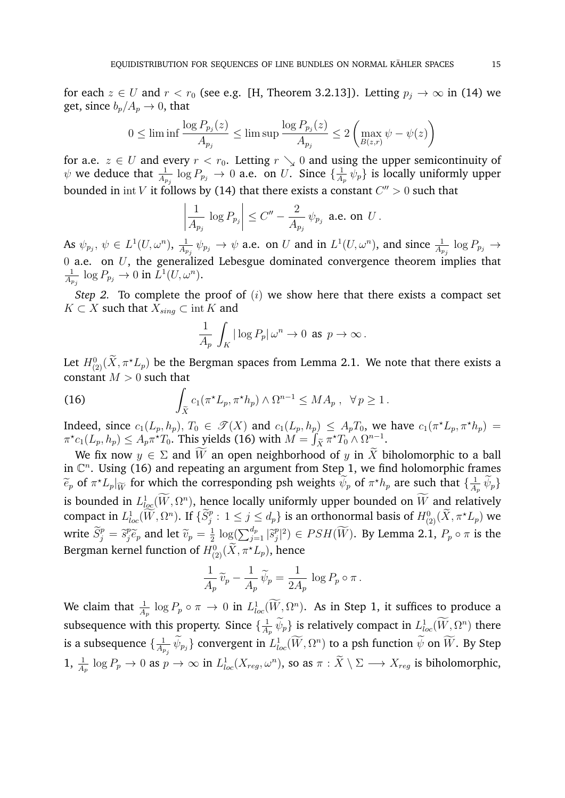for each  $z \in U$  and  $r < r_0$  (see e.g. [H, Theorem 3.2.13]). Letting  $p_i \to \infty$  in (14) we get, since  $b_p/A_p \to 0$ , that

$$
0 \le \liminf \frac{\log P_{p_j}(z)}{A_{p_j}} \le \limsup \frac{\log P_{p_j}(z)}{A_{p_j}} \le 2\left(\max_{B(z,r)} \psi - \psi(z)\right)
$$

for a.e.  $z \in U$  and every  $r < r_0$ . Letting  $r \searrow 0$  and using the upper semicontinuity of  $\psi$  we deduce that  $\frac{1}{A_{p_j}}\, \log P_{p_j} \, \rightarrow \, 0$  a.e. on  $U.$  Since  $\{\frac{1}{A_j}$  $\frac{1}{A_p}$   $\psi_p$ } is locally uniformly upper bounded in  $\mathrm{int}\,V$  it follows by (14) that there exists a constant  $C''>0$  such that

$$
\left|\frac{1}{A_{p_j}}\log P_{p_j}\right| \leq C'' - \frac{2}{A_{p_j}}\,\psi_{p_j} \text{ a.e. on } U.
$$

As  $\psi_{p_j},\,\psi\,\in\,L^1(U,\omega^n),\,\frac{1}{A_r}$  $\frac{1}{A_{p_j}}\psi_{p_j}\to\psi$  a.e. on  $U$  and in  $L^1(U,\omega^n)$ , and since  $\frac{1}{A_{p_j}}\log P_{p_j}\to\psi$ 0 a.e. on  $U$ , the generalized Lebesgue dominated convergence theorem implies that 1  $\frac{1}{A_{p_j}}\, \log P_{p_j} \to 0$  in  $L^1(U,\omega^n).$ 

*Step 2.* To complete the proof of (i) we show here that there exists a compact set  $K \subset X$  such that  $X_{sing} \subset \text{int } K$  and

$$
\frac{1}{A_p} \int_K |\log P_p| \, \omega^n \to 0 \text{ as } p \to \infty \, .
$$

Let  $H^0_{(2)}(\tilde{X}, \pi^{\star}L_p)$  be the Bergman spaces from Lemma 2.1. We note that there exists a constant  $M > 0$  such that

(16) 
$$
\int_{\tilde{X}} c_1(\pi^{\star}L_p, \pi^{\star}h_p) \wedge \Omega^{n-1} \le MA_p, \ \forall p \ge 1.
$$

Indeed, since  $c_1(L_p, h_p)$ ,  $T_0 \in \mathcal{T}(X)$  and  $c_1(L_p, h_p) \leq A_p T_0$ , we have  $c_1(\pi^{\star}L_p, \pi^{\star}h_p)$  $\pi^{\star}c_1(L_p, h_p) \leq A_p \pi^{\star}T_0$ . This yields (16) with  $M = \int_{\widetilde{X}} \pi^{\star}T_0 \wedge \Omega^{n-1}$ .

We fix now  $y \in \Sigma$  and  $\widetilde{W}$  an open neighborhood of y in  $\widetilde{X}$  biholomorphic to a ball in  $\mathbb{C}^n$ . Using (16) and repeating an argument from Step 1, we find holomorphic frames  $\widetilde{e}_p$  of  $\pi^* L_p|_{\widetilde{W}}$  for which the corresponding psh weights  $\widetilde{\psi}_p$  of  $\pi^* h_p$  are such that  $\{\frac{1}{A}$  $\frac{1}{A_p} \psi_p$ is bounded in  $L^1_{loc}(W, \Omega^n)$ , hence locally uniformly upper bounded on W and relatively compact in  $L^1_{loc}(\widetilde{W}, \Omega^n)$ . If  $\{\widetilde{S}^p_j : 1 \leq j \leq d_p\}$  is an orthonormal basis of  $H^0_{(2)}(\widetilde{X}, \pi^*L_p)$  we write  $\widetilde{S}_j^p = \widetilde{s}_j^p$  $\widetilde{v}_p^p$  and let  $\widetilde{v}_p = \frac{1}{2}$  $\frac{1}{2} \log \left( \sum_{j=1}^{d_p} \left| \widetilde{s}_j^p \right| \right)$  $\mathbb{P}^p_j|^2)\in PSH(\bar{W})$ . By Lemma 2.1,  $P_p\circ \pi$  is the Bergman kernel function of  $H^0_{(2)}(\widetilde{X},\pi^{\star}L_p),$  hence

$$
\frac{1}{A_p} \,\widetilde{v}_p - \frac{1}{A_p} \,\widetilde{\psi}_p = \frac{1}{2A_p} \, \log P_p \circ \pi \, .
$$

We claim that  $\frac{1}{A_p} \log P_p \circ \pi \to 0$  in  $L^1_{loc}(\tilde{W}, \Omega^n)$ . As in Step 1, it suffices to produce a subsequence with this property. Since  $\{\frac{1}{4}\}$  $\frac{1}{A_p} \psi_p$ } is relatively compact in  $L^1_{loc}(W, \Omega^n)$  there is a subsequence  $\{\frac{1}{4}\}$  $\frac{1}{A_{p_j}}\,\bar\psi_{p_j}\}$  convergent in  $L^1_{loc}({\bar W},\Omega^n)$  to a psh function  $\bar\psi$  on  ${\bar W}.$  By Step 1,  $\frac{1}{A_p} \log P_p \to 0$  as  $p \to \infty$  in  $L^1_{loc}(X_{reg}, \omega^n)$ , so as  $\pi : \tilde{X} \setminus \Sigma \longrightarrow X_{reg}$  is biholomorphic,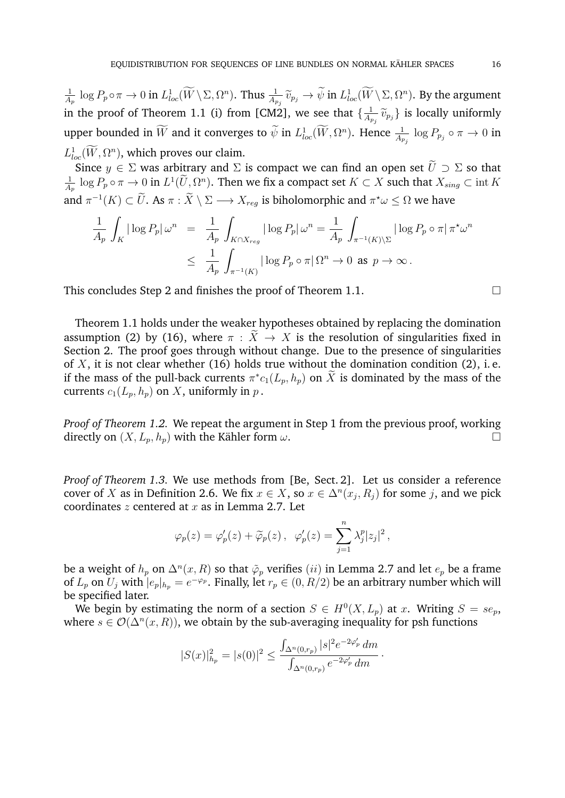1  $\frac{1}{A_p} \log P_p \circ \pi \to 0$  in  $L^1_{loc}(W \setminus \Sigma, \Omega^n)$ . Thus  $\frac{1}{A_{p_j}} \widetilde{v}_{p_j} \to \widetilde{\psi}$  in  $L^1_{loc}(W \setminus \Sigma, \Omega^n)$ . By the argument in the proof of Theorem 1.1 (i) from [CM2], we see that  $\{\frac{1}{4}\}$  $\frac{1}{A_{p_j}} \widetilde{v}_{p_j}$ } is locally uniformly upper bounded in  $\bar W$  and it converges to  $\bar\psi$  in  $L^1_{loc}(\bar W,\Omega^n).$  Hence  $\frac{1}{A_{p_j}}\log P_{p_j}\circ\pi\to 0$  in  $L_{loc}^1(W, \Omega^n)$ , which proves our claim.

Since  $y \in \Sigma$  was arbitrary and  $\Sigma$  is compact we can find an open set  $\widetilde{U} \supset \Sigma$  so that 1  $\frac{1}{A_p}\log P_p\circ\pi\to 0$  in  $L^1(\widetilde{U},\Omega^n)$ . Then we fix a compact set  $K\subset X$  such that  $X_{sing}\subset \operatorname{int} K$ and  $\pi^{-1}(K) \subset \bar{U}$ . As  $\pi : \bar{X} \setminus \Sigma \longrightarrow X_{reg}$  is biholomorphic and  $\pi^{\star}\omega \leq \Omega$  we have

$$
\frac{1}{A_p} \int_K |\log P_p| \, \omega^n = \frac{1}{A_p} \int_{K \cap X_{reg}} |\log P_p| \, \omega^n = \frac{1}{A_p} \int_{\pi^{-1}(K) \backslash \Sigma} |\log P_p \circ \pi| \, \pi^* \omega^n
$$
  

$$
\leq \frac{1}{A_p} \int_{\pi^{-1}(K)} |\log P_p \circ \pi| \, \Omega^n \to 0 \text{ as } p \to \infty.
$$

This concludes Step 2 and finishes the proof of Theorem 1.1.

Theorem 1.1 holds under the weaker hypotheses obtained by replacing the domination assumption (2) by (16), where  $\pi : \tilde{X} \to X$  is the resolution of singularities fixed in Section 2. The proof goes through without change. Due to the presence of singularities of  $X$ , it is not clear whether (16) holds true without the domination condition (2), i.e. if the mass of the pull-back currents  $\pi^* c_1(L_p, h_p)$  on  $\overline{X}$  is dominated by the mass of the currents  $c_1(L_p, h_p)$  on X, uniformly in p.

*Proof of Theorem 1.2.* We repeat the argument in Step 1 from the previous proof, working directly on  $(X, L_p, h_p)$  with the Kähler form  $\omega$ .

*Proof of Theorem 1.3.* We use methods from [Be, Sect. 2]. Let us consider a reference cover of X as in Definition 2.6. We fix  $x \in X$ , so  $x \in \Delta^n(x_j, R_j)$  for some j, and we pick coordinates  $z$  centered at  $x$  as in Lemma 2.7. Let

$$
\varphi_p(z) = \varphi_p'(z) + \widetilde{\varphi}_p(z) \,, \quad \varphi_p'(z) = \sum_{j=1}^n \lambda_j^p |z_j|^2 \,,
$$

be a weight of  $h_p$  on  $\Delta^n(x,R)$  so that  $\tilde{\varphi}_p$  verifies  $(ii)$  in Lemma 2.7 and let  $e_p$  be a frame of  $L_p$  on  $U_j$  with  $|e_p|_{h_p} = e^{-\varphi_p}$ . Finally, let  $r_p \in (0, R/2)$  be an arbitrary number which will be specified later.

We begin by estimating the norm of a section  $S \in H^0(X, L_p)$  at x. Writing  $S = s e_p$ , where  $s \in \mathcal{O}(\Delta^n(x,R))$ , we obtain by the sub-averaging inequality for psh functions

$$
|S(x)|_{h_p}^2 = |s(0)|^2 \le \frac{\int_{\Delta^n(0,r_p)} |s|^2 e^{-2\varphi'_p} \, dm}{\int_{\Delta^n(0,r_p)} e^{-2\varphi'_p} \, dm}.
$$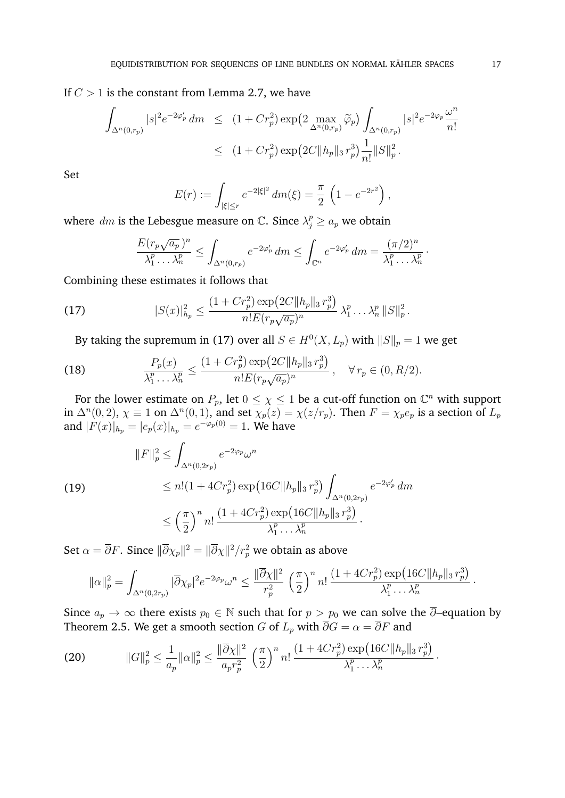If  $C > 1$  is the constant from Lemma 2.7, we have

$$
\int_{\Delta^n(0,r_p)} |s|^2 e^{-2\varphi'_p} dm \le (1 + Cr_p^2) \exp\left(2 \max_{\Delta^n(0,r_p)} \tilde{\varphi}_p\right) \int_{\Delta^n(0,r_p)} |s|^2 e^{-2\varphi_p} \frac{\omega^n}{n!}
$$
  

$$
\le (1 + Cr_p^2) \exp\left(2C \|h_p\|_3 r_p^3\right) \frac{1}{n!} \|S\|_p^2.
$$

Set

$$
E(r) := \int_{|\xi| \le r} e^{-2|\xi|^2} dm(\xi) = \frac{\pi}{2} \left( 1 - e^{-2r^2} \right),
$$

where  $dm$  is the Lebesgue measure on  $\mathbb{C}$ . Since  $\lambda_j^p \ge a_p$  we obtain

$$
\frac{E(r_p\sqrt{a_p})^n}{\lambda_1^p \dots \lambda_n^p} \le \int_{\Delta^n(0,r_p)} e^{-2\varphi'_p} dm \le \int_{\mathbb{C}^n} e^{-2\varphi'_p} dm = \frac{(\pi/2)^n}{\lambda_1^p \dots \lambda_n^p}.
$$

Combining these estimates it follows that

(17) 
$$
|S(x)|_{h_p}^2 \leq \frac{(1+Cr_p^2)\exp(2C||h_p||_3 r_p^3)}{n!E(r_p\sqrt{a_p})^n} \lambda_1^p \dots \lambda_n^p ||S||_p^2.
$$

By taking the supremum in (17) over all  $S\in H^0(X,L_p)$  with  $\|S\|_p=1$  we get

(18) 
$$
\frac{P_p(x)}{\lambda_1^p \dots \lambda_n^p} \le \frac{(1 + Cr_p^2) \exp(2C \|h_p\|_3 r_p^3)}{n! E(r_p \sqrt{a_p})^n}, \quad \forall r_p \in (0, R/2).
$$

For the lower estimate on  $P_p$ , let  $0 \leq \chi \leq 1$  be a cut-off function on  $\mathbb{C}^n$  with support in  $\Delta^n(0,2)$ ,  $\chi \equiv 1$  on  $\Delta^n(0,1)$ , and set  $\chi_p(z) = \chi(z/r_p)$ . Then  $F = \chi_p e_p$  is a section of  $L_p$ and  $|F(x)|_{h_p} = |e_p(x)|_{h_p} = e^{-\varphi_p(0)} = 1$ . We have

(19)  
\n
$$
||F||_p^2 \le \int_{\Delta^n(0,2r_p)} e^{-2\varphi_p} \omega^n
$$
\n
$$
\le n!(1+4Cr_p^2) \exp\left(16C||h_p||_3 r_p^3\right) \int_{\Delta^n(0,2r_p)} e^{-2\varphi'_p} dm
$$
\n
$$
\le \left(\frac{\pi}{2}\right)^n n! \frac{(1+4Cr_p^2) \exp\left(16C||h_p||_3 r_p^3\right)}{\lambda_1^p \dots \lambda_n^p}.
$$

Set  $\alpha=\overline{\partial}F.$  Since  $\|\overline{\partial}\chi_p\|^2=\|\overline{\partial}\chi\|^2/r_p^2$  we obtain as above

$$
\|\alpha\|_p^2 = \int_{\Delta^n(0,2r_p)} |\overline{\partial}\chi_p|^2 e^{-2\varphi_p} \omega^n \le \frac{\|\overline{\partial}\chi\|^2}{r_p^2} \left(\frac{\pi}{2}\right)^n n! \frac{(1+4Cr_p^2)\exp(16C\|h_p\|_3 r_p^3)}{\lambda_1^p \dots \lambda_n^p}.
$$

Since  $a_p \to \infty$  there exists  $p_0 \in \mathbb{N}$  such that for  $p > p_0$  we can solve the  $\overline{\partial}$ –equation by Theorem 2.5. We get a smooth section G of  $L_p$  with  $\overline{\partial}G = \alpha = \overline{\partial}F$  and

(20) 
$$
||G||_p^2 \leq \frac{1}{a_p} ||\alpha||_p^2 \leq \frac{||\overline{\partial}\chi||^2}{a_p r_p^2} \left(\frac{\pi}{2}\right)^n n! \frac{(1+4Cr_p^2) \exp(16C||h_p||_3 r_p^3)}{\lambda_1^p \dots \lambda_n^p}.
$$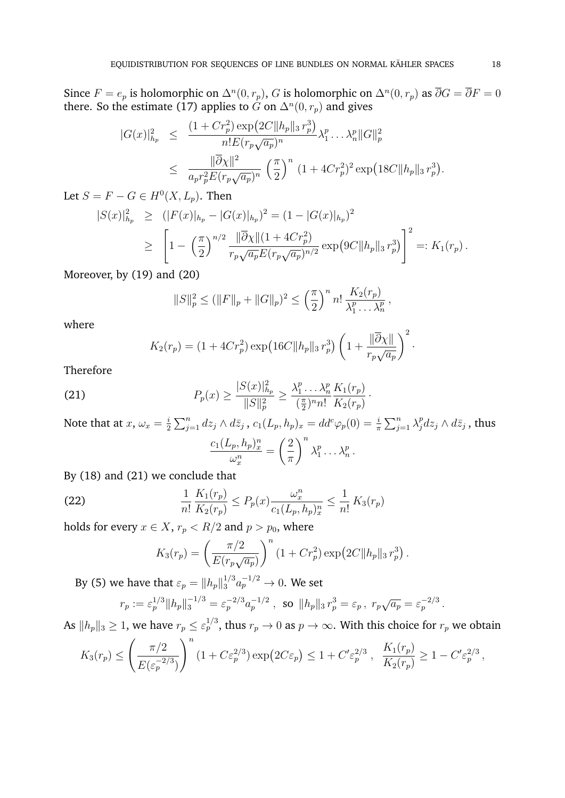Since  $F = e_p$  is holomorphic on  $\Delta^n(0, r_p)$ , G is holomorphic on  $\Delta^n(0, r_p)$  as  $\overline{\partial}G = \overline{\partial}F = 0$ there. So the estimate (17) applies to  $G$  on  $\Delta^n(0,r_p)$  and gives

$$
|G(x)|_{h_p}^2 \leq \frac{(1+Cr_p^2)\exp(2C||h_p||_3 r_p^3)}{n!E(r_p\sqrt{a_p})^n} \lambda_1^p \dots \lambda_n^p ||G||_p^2
$$
  

$$
\leq \frac{||\overline{\partial}\chi||^2}{a_p r_p^2 E(r_p\sqrt{a_p})^n} \left(\frac{\pi}{2}\right)^n (1+4Cr_p^2)^2 \exp(18C||h_p||_3 r_p^3).
$$

Let  $S = F - G \in H^0(X, L_p)$ . Then

$$
|S(x)|_{h_p}^2 \ge (|F(x)|_{h_p} - |G(x)|_{h_p})^2 = (1 - |G(x)|_{h_p})^2
$$
  
\n
$$
\ge \left[1 - \left(\frac{\pi}{2}\right)^{n/2} \frac{\|\overline{\partial}\chi\|(1 + 4Cr_p^2)}{r_p\sqrt{a_p}E(r_p\sqrt{a_p})^{n/2}} \exp(9C\|h_p\|_3 r_p^3)\right]^2 =: K_1(r_p).
$$

Moreover, by (19) and (20)

$$
||S||_p^2 \le (||F||_p + ||G||_p)^2 \le \left(\frac{\pi}{2}\right)^n n! \frac{K_2(r_p)}{\lambda_1^p \dots \lambda_n^p},
$$

where

$$
K_2(r_p) = (1 + 4Cr_p^2) \exp(16C||h_p||_3 r_p^3) \left(1 + \frac{||\overline{\partial}\chi||}{r_p\sqrt{a_p}}\right)^2.
$$

Therefore

(21) 
$$
P_p(x) \ge \frac{|S(x)|_{h_p}^2}{\|S\|_p^2} \ge \frac{\lambda_1^p \dots \lambda_n^p}{(\frac{\pi}{2})^n n!} \frac{K_1(r_p)}{K_2(r_p)}.
$$

Note that at  $x, \omega_x = \frac{i}{2}$  $\frac{i}{2}\sum_{j=1}^n dz_j\wedge d\bar{z}_j$  ,  $c_1(L_p,h_p)_x=dd^c\varphi_p(0)=\frac{i}{\pi}\sum_{j=1}^n\lambda_j^p$  $j^p_j dz_j \wedge d\bar{z}_j$  , thus  $c_1(L_p,h_p)_x^n$  $\omega^n_x$ =  $\sqrt{2}$  $\pi$  $\setminus^n$  $\lambda_1^p$  $n_1^p \ldots \lambda_n^p$ .

By (18) and (21) we conclude that

(22) 
$$
\frac{1}{n!} \frac{K_1(r_p)}{K_2(r_p)} \le P_p(x) \frac{\omega_x^n}{c_1(L_p, h_p)_x^n} \le \frac{1}{n!} K_3(r_p)
$$

holds for every  $x \in X$ ,  $r_p < R/2$  and  $p > p_0$ , where

$$
K_3(r_p) = \left(\frac{\pi/2}{E(r_p\sqrt{a_p})}\right)^n \left(1 + Cr_p^2\right) \exp\left(2C\|h_p\|_3 r_p^3\right).
$$

By (5) we have that  $\varepsilon_p = \|h_p\|_3^{1/3} a_p^{-1/2} \to 0.$  We set

$$
r_p := \varepsilon_p^{1/3} \|h_p\|_3^{-1/3} = \varepsilon_p^{-2/3} a_p^{-1/2} , \text{ so } \|h_p\|_3 r_p^3 = \varepsilon_p , r_p \sqrt{a_p} = \varepsilon_p^{-2/3} .
$$

As  $\|h_p\|_3\geq 1,$  we have  $r_p\leq \varepsilon_p^{1/3},$  thus  $r_p\to 0$  as  $p\to\infty.$  With this choice for  $r_p$  we obtain

$$
K_3(r_p) \le \left(\frac{\pi/2}{E(\varepsilon_p^{-2/3})}\right)^n \left(1 + C\varepsilon_p^{2/3}\right) \exp\left(2C\varepsilon_p\right) \le 1 + C'\varepsilon_p^{2/3}, \quad \frac{K_1(r_p)}{K_2(r_p)} \ge 1 - C'\varepsilon_p^{2/3},
$$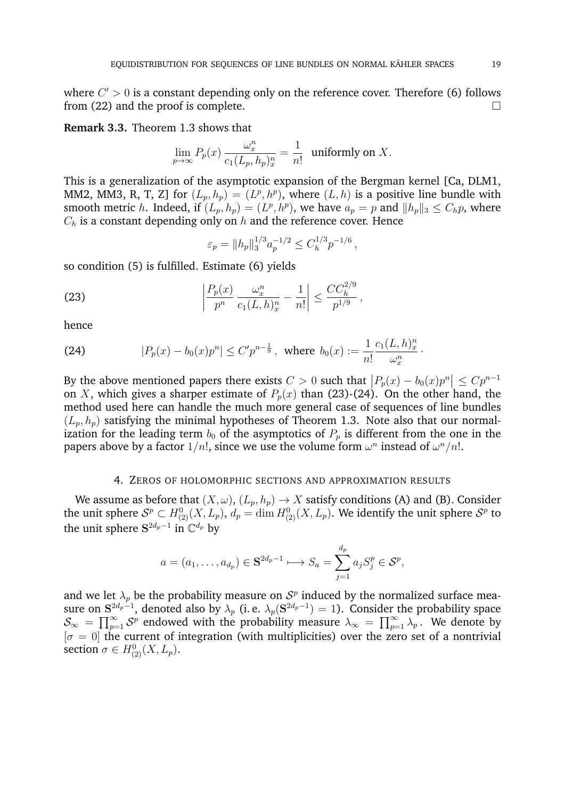where  $C' > 0$  is a constant depending only on the reference cover. Therefore (6) follows from  $(22)$  and the proof is complete.

**Remark 3.3.** Theorem 1.3 shows that

$$
\lim_{p \to \infty} P_p(x) \frac{\omega_x^n}{c_1(L_p, h_p)_x^n} = \frac{1}{n!}
$$
 uniformly on X.

This is a generalization of the asymptotic expansion of the Bergman kernel [Ca, DLM1, MM2, MM3, R, T, Z] for  $(L_p, h_p) = (L^p, h^p)$ , where  $(L, h)$  is a positive line bundle with smooth metric h. Indeed, if  $(L_p, h_p) = (L^p, h^p)$ , we have  $a_p = p$  and  $||h_p||_3 \le C_h p$ , where  $C_h$  is a constant depending only on h and the reference cover. Hence

$$
\varepsilon_p = \|h_p\|_3^{1/3} a_p^{-1/2} \le C_h^{1/3} p^{-1/6},
$$

so condition (5) is fulfilled. Estimate (6) yields

(23) 
$$
\left|\frac{P_p(x)}{p^n}\frac{\omega_x^n}{c_1(L,h)_x^n} - \frac{1}{n!}\right| \leq \frac{CC_h^{2/9}}{p^{1/9}},
$$

hence

(24) 
$$
|P_p(x) - b_0(x)p^n| \le C' p^{n-\frac{1}{9}}, \text{ where } b_0(x) := \frac{1}{n!} \frac{c_1(L, h)_x^n}{\omega_x^n}.
$$

By the above mentioned papers there exists  $C > 0$  such that  $\left| P_p(x) - b_0(x) p^n \right| \leq C p^{n-1}$ on X, which gives a sharper estimate of  $P_p(x)$  than (23)-(24). On the other hand, the method used here can handle the much more general case of sequences of line bundles  $(L_p, h_p)$  satisfying the minimal hypotheses of Theorem 1.3. Note also that our normalization for the leading term  $b_0$  of the asymptotics of  $P_p$  is different from the one in the papers above by a factor  $1/n!$ , since we use the volume form  $\omega^n$  instead of  $\omega^n/n!$ .

### 4. ZEROS OF HOLOMORPHIC SECTIONS AND APPROXIMATION RESULTS

We assume as before that  $(X, \omega)$ ,  $(L_p, h_p) \to X$  satisfy conditions (A) and (B). Consider the unit sphere  $\mathcal{S}^p\subset H^0_{(2)}(X,L_p),\,d_p=\dim H^0_{(2)}(X,L_p).$  We identify the unit sphere  $\mathcal{S}^p$  to the unit sphere  $S^{2d_p-1}$  in  $\mathbb{C}^{d_p}$  by

$$
a = (a_1, \dots, a_{d_p}) \in \mathbf{S}^{2d_p - 1} \longmapsto S_a = \sum_{j=1}^{d_p} a_j S_j^p \in \mathcal{S}^p,
$$

and we let  $\lambda_p$  be the probability measure on  $\mathcal{S}^p$  induced by the normalized surface measure on  ${\bf S}^{2d_p-1},$  denoted also by  $\lambda_p$  (i. e.  $\lambda_p({\bf S}^{2d_p-1})=1).$  Consider the probability space  $\mathcal{S}_{\infty} = \prod_{p=1}^{\infty} \mathcal{S}^p$  endowed with the probability measure  $\lambda_{\infty} = \prod_{p=1}^{\infty} \lambda_p$ . We denote by  $[\sigma = 0]$  the current of integration (with multiplicities) over the zero set of a nontrivial section  $\sigma \in H^0_{(2)}(X, L_p)$ .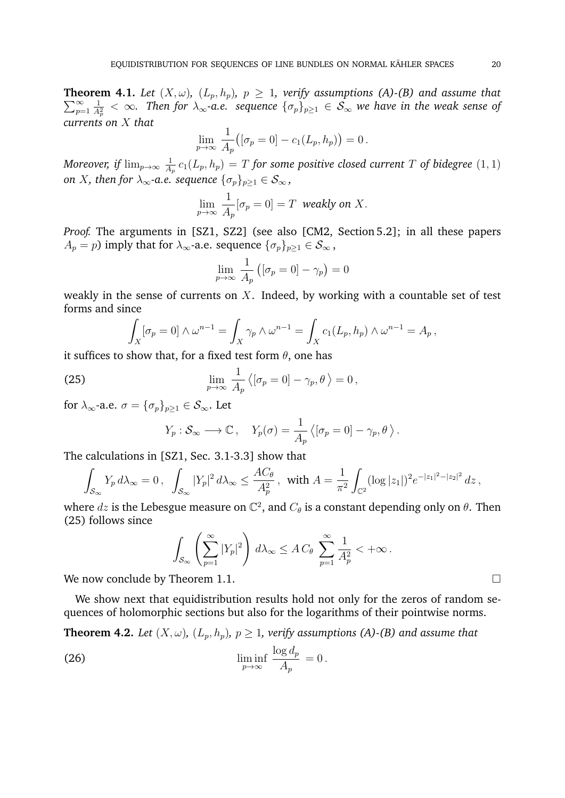$\sum_{n=1}^{\infty}$ **Theorem 4.1.** Let  $(X, \omega)$ ,  $(L_p, h_p)$ ,  $p \geq 1$ , verify assumptions (A)-(B) and assume that  $p=1$ 1  $\frac{1}{A_p^2}<\infty$ . Then for  $\lambda_\infty$ -a.e. sequence  $\{\sigma_p\}_{p\geq 1}\in\mathcal{S}_\infty$  we have in the weak sense of *currents on* X *that*

$$
\lim_{p \to \infty} \frac{1}{A_p} ([\sigma_p = 0] - c_1(L_p, h_p)) = 0.
$$

*Moreover, if*  $\lim_{p\to\infty} \frac{1}{A}$  $\frac{1}{A_p} \, c_1(L_p,h_p) \, = \, T$  for some positive closed current  $T$  of bidegree  $(1,1)$ *on X, then for*  $\lambda_{\infty}$ *-a.e. sequence*  $\{\sigma_p\}_{p\geq 1} \in S_{\infty}$ *,* 

$$
\lim_{p \to \infty} \frac{1}{A_p} [\sigma_p = 0] = T \text{ weakly on } X.
$$

*Proof.* The arguments in [SZ1, SZ2] (see also [CM2, Section 5.2]; in all these papers  $A_p = p$ ) imply that for  $\lambda_{\infty}$ -a.e. sequence  $\{\sigma_p\}_{p \geq 1} \in S_{\infty}$ ,

$$
\lim_{p \to \infty} \frac{1}{A_p} \left( [\sigma_p = 0] - \gamma_p \right) = 0
$$

weakly in the sense of currents on  $X$ . Indeed, by working with a countable set of test forms and since

$$
\int_X [\sigma_p = 0] \wedge \omega^{n-1} = \int_X \gamma_p \wedge \omega^{n-1} = \int_X c_1(L_p, h_p) \wedge \omega^{n-1} = A_p,
$$

it suffices to show that, for a fixed test form  $\theta$ , one has

(25) 
$$
\lim_{p \to \infty} \frac{1}{A_p} \langle [\sigma_p = 0] - \gamma_p, \theta \rangle = 0,
$$

for  $\lambda_{\infty}$ -a.e.  $\sigma = {\{\sigma_p\}}_{p>1} \in S_{\infty}$ . Let

$$
Y_p: \mathcal{S}_{\infty} \longrightarrow \mathbb{C}, \quad Y_p(\sigma) = \frac{1}{A_p} \langle [\sigma_p = 0] - \gamma_p, \theta \rangle.
$$

The calculations in [SZ1, Sec. 3.1-3.3] show that

$$
\int_{\mathcal{S}_{\infty}} Y_p \, d\lambda_{\infty} = 0 \,, \quad \int_{\mathcal{S}_{\infty}} |Y_p|^2 \, d\lambda_{\infty} \le \frac{AC_\theta}{A_p^2} \,, \quad \text{with } A = \frac{1}{\pi^2} \int_{\mathbb{C}^2} (\log |z_1|)^2 e^{-|z_1|^2 - |z_2|^2} \, dz \,,
$$

where  $dz$  is the Lebesgue measure on  $\mathbb{C}^2$ , and  $C_\theta$  is a constant depending only on  $\theta$ . Then (25) follows since

$$
\int_{\mathcal{S}_{\infty}} \left( \sum_{p=1}^{\infty} |Y_p|^2 \right) d\lambda_{\infty} \leq A C_{\theta} \sum_{p=1}^{\infty} \frac{1}{A_p^2} < +\infty.
$$

We now conclude by Theorem 1.1.

We show next that equidistribution results hold not only for the zeros of random sequences of holomorphic sections but also for the logarithms of their pointwise norms.

**Theorem 4.2.** *Let*  $(X, \omega)$ *,*  $(L_p, h_p)$ *,*  $p \ge 1$ *, verify assumptions (A)-(B) and assume that* 

(26) 
$$
\liminf_{p \to \infty} \frac{\log d_p}{A_p} = 0.
$$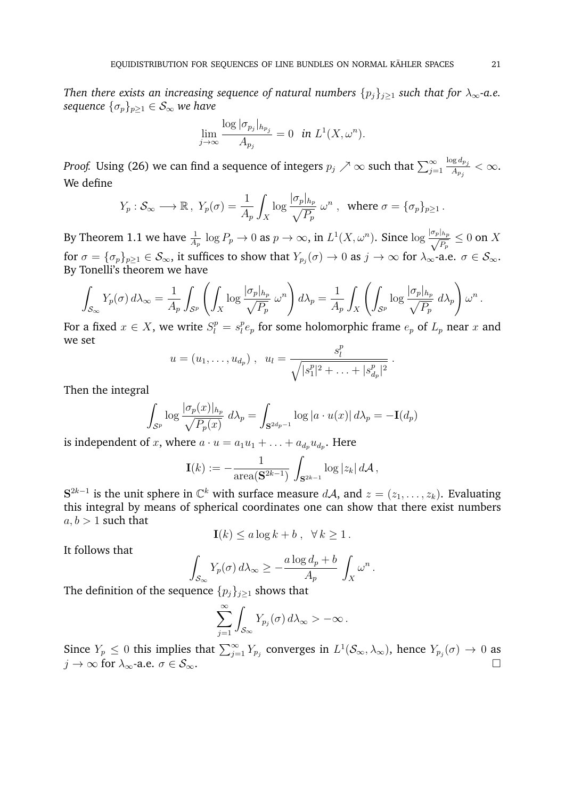*Then there exists an increasing sequence of natural numbers*  $\{p_j\}_{j\geq 1}$  *such that for*  $\lambda_\infty$ *-a.e. sequence*  $\{\sigma_p\}_{p\geq 1} \in \mathcal{S}_{\infty}$  *we have* 

$$
\lim_{j \to \infty} \frac{\log |\sigma_{p_j}|_{h_{p_j}}}{A_{p_j}} = 0 \quad \text{in } L^1(X, \omega^n).
$$

*Proof.* Using (26) we can find a sequence of integers  $p_j \nearrow \infty$  such that  $\sum_{j=1}^{\infty}$  $\log d_{p_j}$  $\frac{\partial g\, a_{p_j}}{A_{p_j}} < \infty.$ We define

$$
Y_p: \mathcal{S}_{\infty} \longrightarrow \mathbb{R}, Y_p(\sigma) = \frac{1}{A_p} \int_X \log \frac{|\sigma_p|_{h_p}}{\sqrt{P_p}} \omega^n
$$
, where  $\sigma = {\sigma_p}_{p \ge 1}$ .

By Theorem 1.1 we have  $\frac{1}{A_p} \log P_p \to 0$  as  $p \to \infty$ , in  $L^1(X, \omega^n)$ . Since  $\log \frac{|\sigma_p|_{h_p}}{\sqrt{P_n}}$  $\frac{\ln p}{P_p} \leq 0$  on  $X$ for  $\sigma=\{\sigma_p\}_{p\geq 1}\in\mathcal{S}_\infty$ , it suffices to show that  $Y_{p_j}(\sigma)\to 0$  as  $j\to\infty$  for  $\lambda_\infty$ -a.e.  $\sigma\in\mathcal{S}_\infty.$ By Tonelli's theorem we have

$$
\int_{\mathcal{S}_{\infty}} Y_p(\sigma) d\lambda_{\infty} = \frac{1}{A_p} \int_{\mathcal{S}^p} \left( \int_X \log \frac{|\sigma_p|_{h_p}}{\sqrt{P_p}} \, \omega^n \right) d\lambda_p = \frac{1}{A_p} \int_X \left( \int_{\mathcal{S}^p} \log \frac{|\sigma_p|_{h_p}}{\sqrt{P_p}} \, d\lambda_p \right) \omega^n.
$$

For a fixed  $x \in X$ , we write  $S_l^p = s_l^p$  $_{l}^{p}e_{p}$  for some holomorphic frame  $e_{p}$  of  $L_{p}$  near  $x$  and we set p

$$
u = (u_1, \ldots, u_{d_p}), \quad u_l = \frac{s_l^p}{\sqrt{|s_1^p|^2 + \ldots + |s_{d_p}^p|^2}}.
$$

Then the integral

$$
\int_{\mathcal{S}^p} \log \frac{|\sigma_p(x)|_{h_p}}{\sqrt{P_p(x)}} d\lambda_p = \int_{\mathbf{S}^{2d_p-1}} \log |a \cdot u(x)| d\lambda_p = -\mathbf{I}(d_p)
$$

is independent of x, where  $a \cdot u = a_1 u_1 + \ldots + a_{d_p} u_{d_p}$ . Here

$$
\mathbf{I}(k) := -\frac{1}{\operatorname{area}(\mathbf{S}^{2k-1})} \int_{\mathbf{S}^{2k-1}} \log |z_k| d\mathcal{A},
$$

 $S^{2k-1}$  is the unit sphere in  $\mathbb{C}^k$  with surface measure  $d\mathcal{A}$ , and  $z = (z_1, \ldots, z_k)$ . Evaluating this integral by means of spherical coordinates one can show that there exist numbers  $a, b > 1$  such that

$$
\mathbf{I}(k) \le a \log k + b \,, \ \ \forall \, k \ge 1 \,.
$$

It follows that

$$
\int_{\mathcal{S}_{\infty}} Y_p(\sigma) d\lambda_{\infty} \ge -\frac{a \log d_p + b}{A_p} \int_X \omega^n.
$$

The definition of the sequence  $\{p_j\}_{j\geq 1}$  shows that

$$
\sum_{j=1}^{\infty}\int_{\mathcal{S}_{\infty}}Y_{p_j}(\sigma)\,d\lambda_{\infty} > -\infty\,.
$$

Since  $Y_p \le 0$  this implies that  $\sum_{j=1}^{\infty} Y_{p_j}$  converges in  $L^1(\mathcal{S}_{\infty}, \lambda_{\infty})$ , hence  $Y_{p_j}(\sigma) \to 0$  as  $j \to \infty$  for  $\lambda_{\infty}$ -a.e.  $\sigma \in \mathcal{S}_{\infty}$ .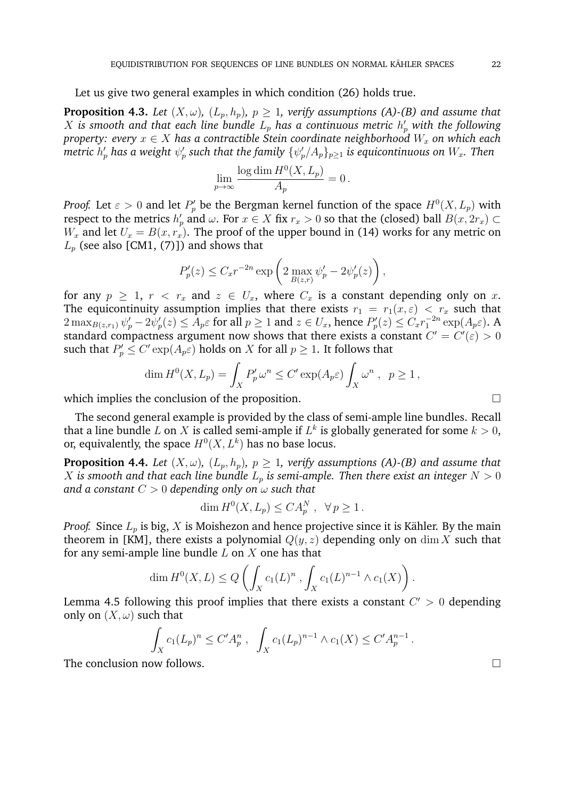Let us give two general examples in which condition (26) holds true.

**Proposition 4.3.** *Let*  $(X, \omega)$ *,*  $(L_p, h_p)$ *,*  $p \ge 1$ *, verify assumptions (A)-(B) and assume that*  $X$  is smooth and that each line bundle  $L_p$  has a continuous metric  $h_p^\prime$  with the following *property: every*  $x \in X$  *has a contractible Stein coordinate neighborhood*  $W_x$  *on which each* metric  $h'_p$  has a weight  $\psi'_p$  such that the family  $\{\psi'_p/A_p\}_{p\geq 1}$  is equicontinuous on  $W_x.$  Then

$$
\lim_{p \to \infty} \frac{\log \dim H^0(X, L_p)}{A_p} = 0.
$$

*Proof.* Let  $\varepsilon > 0$  and let  $P'_p$  be the Bergman kernel function of the space  $H^0(X, L_p)$  with respect to the metrics  $h'_p$  and  $\omega$ . For  $x \in X$  fix  $r_x > 0$  so that the (closed) ball  $B(x, 2r_x) \subset$  $W_x$  and let  $U_x = B(x, r_x)$ . The proof of the upper bound in (14) works for any metric on  $L_p$  (see also [CM1, (7)]) and shows that

$$
P_p'(z) \leq C_x r^{-2n} \exp\left(2 \max_{B(z,r)} \psi_p' - 2\psi_p'(z)\right),
$$

for any  $p \geq 1$ ,  $r \leq r_x$  and  $z \in U_x$ , where  $C_x$  is a constant depending only on x. The equicontinuity assumption implies that there exists  $r_1 = r_1(x, \varepsilon) < r_x$  such that  $2 \max_{B(z,r_1)} \psi'_p - 2\psi'_p(z) \leq A_p \varepsilon$  for all  $p \geq 1$  and  $z \in U_x$ , hence  $P'_p(z) \leq C_x r_1^{-2n} \exp(A_p \varepsilon)$ . A standard compactness argument now shows that there exists a constant  $C' = C'(\varepsilon) > 0$ such that  $P'_p \leq C' \exp(A_p \varepsilon)$  holds on X for all  $p \geq 1$ . It follows that

$$
\dim H^0(X, L_p) = \int_X P'_p \,\omega^n \le C' \exp(A_p \varepsilon) \int_X \omega^n \,, \quad p \ge 1 \,,
$$

which implies the conclusion of the proposition.

The second general example is provided by the class of semi-ample line bundles. Recall that a line bundle L on X is called semi-ample if  $L^k$  is globally generated for some  $k > 0$ , or, equivalently, the space  $H^0(X,L^k)$  has no base locus.

**Proposition 4.4.** *Let*  $(X, \omega)$ *,*  $(L_p, h_p)$ *,*  $p \geq 1$ *, verify assumptions (A)-(B) and assume that* X is smooth and that each line bundle  $L_p$  is semi-ample. Then there exist an integer  $N > 0$ *and a constant* C > 0 *depending only on* ω *such that*

$$
\dim H^0(X, L_p) \le C A_p^N, \quad \forall \, p \ge 1.
$$

*Proof.* Since  $L_p$  is big, X is Moishezon and hence projective since it is Kähler. By the main theorem in [KM], there exists a polynomial  $Q(y, z)$  depending only on dim X such that for any semi-ample line bundle  $L$  on  $X$  one has that

$$
\dim H^0(X,L) \le Q\left(\int_X c_1(L)^n, \int_X c_1(L)^{n-1} \wedge c_1(X)\right).
$$

Lemma 4.5 following this proof implies that there exists a constant  $C' > 0$  depending only on  $(X, \omega)$  such that

$$
\int_X c_1(L_p)^n \le C' A_p^n, \quad \int_X c_1(L_p)^{n-1} \wedge c_1(X) \le C' A_p^{n-1}.
$$

The conclusion now follows.

$$
\Box
$$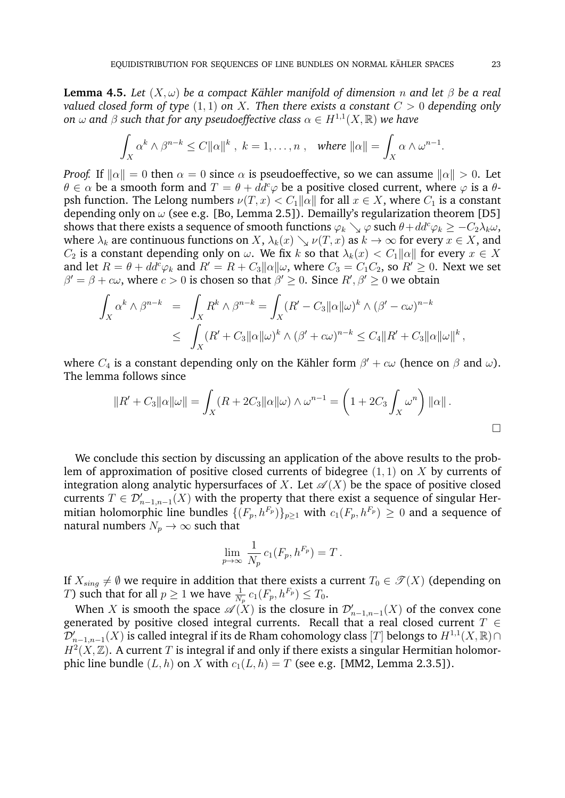**Lemma 4.5.** *Let*  $(X, \omega)$  *be a compact Kähler manifold of dimension n* and let  $\beta$  *be a real valued closed form of type* (1, 1) *on* X*. Then there exists a constant* C > 0 *depending only on*  $\omega$  and  $\beta$  such that for any pseudoeffective class  $\alpha \in H^{1,1}(X,\mathbb{R})$  we have

$$
\int_X \alpha^k \wedge \beta^{n-k} \leq C ||\alpha||^k \ , \ k=1,\ldots,n \ , \quad \text{where } ||\alpha|| = \int_X \alpha \wedge \omega^{n-1}.
$$

*Proof.* If  $\|\alpha\| = 0$  then  $\alpha = 0$  since  $\alpha$  is pseudoeffective, so we can assume  $\|\alpha\| > 0$ . Let  $\theta \in \alpha$  be a smooth form and  $T = \theta + dd^c \varphi$  be a positive closed current, where  $\varphi$  is a  $\theta$ psh function. The Lelong numbers  $\nu(T, x) < C_1 ||\alpha||$  for all  $x \in X$ , where  $C_1$  is a constant depending only on  $\omega$  (see e.g. [Bo, Lemma 2.5]). Demailly's regularization theorem [D5] shows that there exists a sequence of smooth functions  $\varphi_k \searrow \varphi$  such  $\theta + dd^c \varphi_k \geq -C_2 \lambda_k \omega$ , where  $\lambda_k$  are continuous functions on X,  $\lambda_k(x) \searrow \nu(T, x)$  as  $k \to \infty$  for every  $x \in X$ , and  $C_2$  is a constant depending only on  $\omega$ . We fix k so that  $\lambda_k(x) < C_1 ||\alpha||$  for every  $x \in X$ and let  $R = \theta + dd^c \varphi_k$  and  $R' = R + C_3 ||\alpha|| \omega$ , where  $C_3 = C_1 C_2$ , so  $R' \geq 0$ . Next we set  $\beta' = \beta + c\omega$ , where  $c > 0$  is chosen so that  $\beta' \geq 0$ . Since  $R', \beta' \geq 0$  we obtain

$$
\int_X \alpha^k \wedge \beta^{n-k} = \int_X R^k \wedge \beta^{n-k} = \int_X (R' - C_3 \|\alpha\|\omega)^k \wedge (\beta' - c\omega)^{n-k}
$$
  

$$
\leq \int_X (R' + C_3 \|\alpha\|\omega)^k \wedge (\beta' + c\omega)^{n-k} \leq C_4 \|R' + C_3 \|\alpha\|\omega\|^k,
$$

where  $C_4$  is a constant depending only on the Kähler form  $\beta'+c\omega$  (hence on  $\beta$  and  $\omega$ ). The lemma follows since

$$
||R' + C_3||\alpha||\omega|| = \int_X (R + 2C_3||\alpha||\omega) \wedge \omega^{n-1} = \left(1 + 2C_3 \int_X \omega^n\right) ||\alpha||.
$$

We conclude this section by discussing an application of the above results to the problem of approximation of positive closed currents of bidegree  $(1, 1)$  on X by currents of integration along analytic hypersurfaces of X. Let  $\mathscr{A}(X)$  be the space of positive closed currents  $T \in \mathcal{D}'_{n-1,n-1}(X)$  with the property that there exist a sequence of singular Hermitian holomorphic line bundles  $\{(F_p, h^{F_p})\}_{p>1}$  with  $c_1(F_p, h^{F_p}) \geq 0$  and a sequence of natural numbers  $N_p \to \infty$  such that

$$
\lim_{p \to \infty} \frac{1}{N_p} c_1(F_p, h^{F_p}) = T.
$$

If  $X_{sing} \neq \emptyset$  we require in addition that there exists a current  $T_0 \in \mathcal{T}(X)$  (depending on *T*) such that for all  $p \geq 1$  we have  $\frac{1}{N_p} c_1(F_p, h^{F_p}) \leq T_0$ .

When  $X$  is smooth the space  $\mathscr{A}(X)$  is the closure in  $\mathcal{D}'_{n-1,n-1}(X)$  of the convex cone generated by positive closed integral currents. Recall that a real closed current  $T \in$  $\widetilde{\mathcal D}_{n-1,n-1}'(X)$  is called integral if its de Rham cohomology class  $[T]$  belongs to  $H^{1,1}(X,\mathbb R)\cap$  $H^2(X,\mathbb{Z})$ . A current T is integral if and only if there exists a singular Hermitian holomorphic line bundle  $(L, h)$  on X with  $c_1(L, h) = T$  (see e.g. [MM2, Lemma 2.3.5]).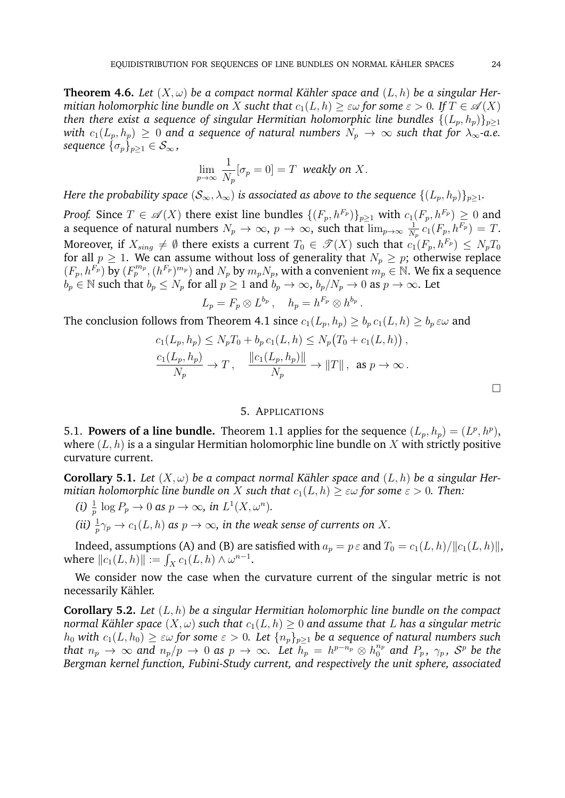**Theorem 4.6.** Let  $(X, \omega)$  be a compact normal Kähler space and  $(L, h)$  be a singular Her*mitian holomorphic line bundle on* X *sucht that*  $c_1(L, h) \geq \varepsilon \omega$  for some  $\varepsilon > 0$ . If  $T \in \mathscr{A}(X)$ *then there exist a sequence of singular Hermitian holomorphic line bundles*  $\{(L_p, h_p)\}_{p>1}$ *with*  $c_1(L_p, h_p) \geq 0$  and a sequence of natural numbers  $N_p \to \infty$  such that for  $\lambda_\infty$ -a.e. *sequence*  $\{\sigma_p\}_{p\geq 1} \in \mathcal{S}_{\infty}$ ,

$$
\lim_{p \to \infty} \frac{1}{N_p} [\sigma_p = 0] = T \text{ weakly on } X.
$$

*Here the probability space*  $(S_{\infty}, \lambda_{\infty})$  *is associated as above to the sequence*  $\{(L_p, h_p)\}_{p>1}$ .

*Proof.* Since  $T \in \mathscr{A}(X)$  there exist line bundles  $\{(F_p, h^{F_p})\}_{p \geq 1}$  with  $c_1(F_p, h^{F_p}) \geq 0$  and a sequence of natural numbers  $N_p \to \infty$ ,  $p \to \infty$ , such that  $\lim_{p \to \infty} \frac{1}{N}$  $\frac{1}{N_p}\,c_1(F_p,h^{F_p})\,=\,T.$ Moreover, if  $X_{sing} \neq \emptyset$  there exists a current  $T_0 \in \mathcal{T}(X)$  such that  $c_1(F_p, h^{F_p}) \leq N_pT_0$ for all  $p \ge 1$ . We can assume without loss of generality that  $N_p \ge p$ ; otherwise replace  $(F_p, h^{F_p})$  by  $(F_p^{m_p}, (h^{F_p})^{m_p})$  and  $N_p$  by  $m_pN_p$ , with a convenient  $m_p \in \mathbb{N}$ . We fix a sequence  $b_p \in \mathbb{N}$  such that  $b_p \le N_p$  for all  $p \ge 1$  and  $b_p \to \infty$ ,  $b_p/N_p \to 0$  as  $p \to \infty$ . Let

$$
L_p = F_p \otimes L^{b_p} , \quad h_p = h^{F_p} \otimes h^{b_p} .
$$

The conclusion follows from Theorem 4.1 since  $c_1(L_p, h_p) \geq b_p c_1(L, h) \geq b_p \epsilon \omega$  and

$$
c_1(L_p, h_p) \le N_p T_0 + b_p c_1(L, h) \le N_p (T_0 + c_1(L, h)),
$$
  

$$
\frac{c_1(L_p, h_p)}{N_p} \to T, \quad \frac{\|c_1(L_p, h_p)\|}{N_p} \to \|T\|, \text{ as } p \to \infty.
$$

#### 5. APPLICATIONS

5.1. **Powers of a line bundle.** Theorem 1.1 applies for the sequence  $(L_p, h_p) = (L^p, h^p)$ , where  $(L, h)$  is a a singular Hermitian holomorphic line bundle on X with strictly positive curvature current.

**Corollary 5.1.** Let  $(X, \omega)$  be a compact normal Kähler space and  $(L, h)$  be a singular Her*mitian holomorphic line bundle on* X *such that*  $c_1(L, h) \geq \varepsilon \omega$  *for some*  $\varepsilon > 0$ *. Then:* 

- (*i*)  $\frac{1}{p} \log P_p \to 0$  *as*  $p \to \infty$ *, in*  $L^1(X, \omega^n)$ *.*
- (*ii*)  $\frac{1}{p} \gamma_p \to c_1(L, h)$  as  $p \to \infty$ , in the weak sense of currents on X.

Indeed, assumptions (A) and (B) are satisfied with  $a_p = p \varepsilon$  and  $T_0 = c_1(L, h) / ||c_1(L, h)||$ , where  $||c_1(L, h)|| := \int_X c_1(L, h) \wedge \omega^{n-1}$ .

We consider now the case when the curvature current of the singular metric is not necessarily Kähler.

**Corollary 5.2.** *Let* (L, h) *be a singular Hermitian holomorphic line bundle on the compact normal Kähler space*  $(X, \omega)$  *such that*  $c_1(L, h) \geq 0$  *and assume that* L *has a singular metric*  $h_0$  with  $c_1(L, h_0) \geq \varepsilon \omega$  for some  $\varepsilon > 0$ . Let  $\{n_p\}_{p \geq 1}$  be a sequence of natural numbers such *that*  $n_p \rightarrow \infty$  *and*  $n_p/p \rightarrow 0$  *as*  $p \rightarrow \infty$ *. Let*  $h_p = h^{p-n_p} \otimes h_0^{n_p}$  *and*  $P_p$ *,*  $\gamma_p$ *,*  $S^p$  *be the Bergman kernel function, Fubini-Study current, and respectively the unit sphere, associated*

 $\Box$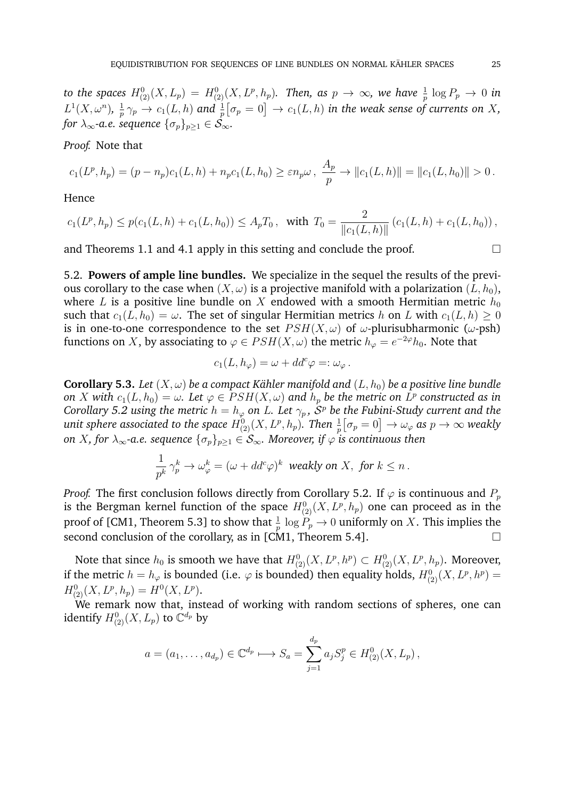to the spaces  $H^0_{(2)}(X,L_p)=H^0_{(2)}(X,L^p,h_p).$  Then, as  $p\,\to\,\infty,$  we have  $\frac{1}{p}\,\log P_p\,\to\,0$  in  $L^1(X, \omega^n)$ ,  $\frac{1}{n}$  $\frac{1}{p}\,\gamma_p\to c_1(L,h)$  and  $\frac{1}{p}\big[\sigma_p=0\big]\to c_1(L,h)$  in the weak sense of currents on  $X,$ *for*  $\lambda_{\infty}$ -a.e. sequence  $\{\sigma_p\}_{p>1} \in S_{\infty}$ .

## *Proof.* Note that

$$
c_1(L^p, h_p) = (p - n_p)c_1(L, h) + n_p c_1(L, h_0) \geq \varepsilon n_p \omega, \frac{A_p}{p} \to ||c_1(L, h)|| = ||c_1(L, h_0)|| > 0.
$$

Hence

$$
c_1(L^p, h_p) \le p(c_1(L, h) + c_1(L, h_0)) \le A_p T_0, \text{ with } T_0 = \frac{2}{\|c_1(L, h)\|} (c_1(L, h) + c_1(L, h_0)),
$$

and Theorems 1.1 and 4.1 apply in this setting and conclude the proof.  $\Box$ 

5.2. **Powers of ample line bundles.** We specialize in the sequel the results of the previous corollary to the case when  $(X, \omega)$  is a projective manifold with a polarization  $(L, h_0)$ , where L is a positive line bundle on X endowed with a smooth Hermitian metric  $h_0$ such that  $c_1(L, h_0) = \omega$ . The set of singular Hermitian metrics h on L with  $c_1(L, h) \geq 0$ is in one-to-one correspondence to the set  $PSH(X, \omega)$  of  $\omega$ -plurisubharmonic ( $\omega$ -psh) functions on X, by associating to  $\varphi \in PSH(X,\omega)$  the metric  $h_\varphi = e^{-2\varphi}h_0$ . Note that

$$
c_1(L, h_{\varphi}) = \omega + dd^c \varphi =: \omega_{\varphi}.
$$

**Corollary 5.3.** Let  $(X, \omega)$  be a compact Kähler manifold and  $(L, h_0)$  be a positive line bundle *on X with*  $c_1(L, h_0) = \omega$ *. Let*  $\varphi \in PSH(X, \omega)$  *and*  $h_p$  *be the metric on*  $L^p$  *constructed as in Corollary 5.2 using the metric*  $h = h_{\varphi}$  *on L. Let*  $\gamma_p$  *,*  $\bar{\mathcal{S}}^p$  *be the Fubini-Study current and the* unit sphere associated to the space  $H^0_{(2)}(X,L^p,h_p).$  Then  $\frac{1}{p}\big[\sigma_p=0\big]\to\omega_\varphi$  as  $p\to\infty$  weakly *on X, for*  $\lambda_{\infty}$ *-a.e. sequence*  $\{\sigma_p\}_{p\geq 1} \in S_{\infty}$ *. Moreover, if*  $\varphi$  *is continuous then* 

$$
\frac{1}{p^k}\,\gamma_p^k\to \omega_\varphi^k=(\omega+dd^c \varphi)^k\ \ \text{weakly on}\ X,\ \text{for}\ k\leq n\,.
$$

*Proof.* The first conclusion follows directly from Corollary 5.2. If  $\varphi$  is continuous and  $P_p$ is the Bergman kernel function of the space  $H^0_{(2)}(X, L^p, h_p)$  one can proceed as in the proof of [CM1, Theorem 5.3] to show that  $\frac{1}{p} \log P_p \to 0$  uniformly on  $X.$  This implies the second conclusion of the corollary, as in [CM1, Theorem 5.4].

Note that since  $h_0$  is smooth we have that  $H^0_{(2)}(X,L^p,h^p)\subset H^0_{(2)}(X,L^p,h_p).$  Moreover, if the metric  $h = h_{\varphi}$  is bounded (i.e.  $\varphi$  is bounded) then equality holds,  $H^0_{(2)}(X, L^p, h^p) =$  $H_{(2)}^{0}(X, L^{p}, h_{p}) = H^{0}(X, L^{p}).$ 

We remark now that, instead of working with random sections of spheres, one can identify  $H^0_{(2)}(X,L_p)$  to  $\mathbb{C}^{d_p}$  by

$$
a = (a_1, ..., a_{d_p}) \in \mathbb{C}^{d_p} \longrightarrow S_a = \sum_{j=1}^{d_p} a_j S_j^p \in H^0_{(2)}(X, L_p),
$$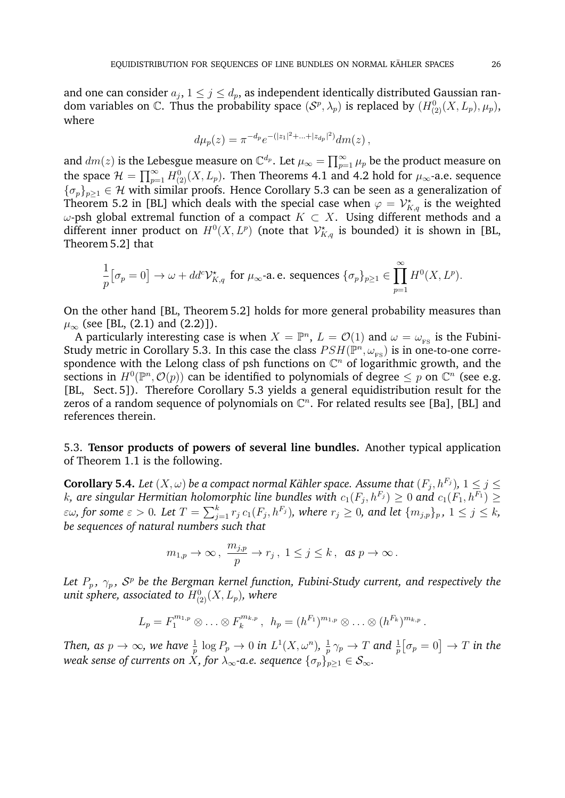and one can consider  $a_j,$   $1\leq j\leq d_p,$  as independent identically distributed Gaussian random variables on C. Thus the probability space  $(S^p, \lambda_p)$  is replaced by  $(H^0_{(2)}(X, L_p), \mu_p)$ , where

$$
d\mu_p(z) = \pi^{-d_p} e^{-(|z_1|^2 + \ldots + |z_{d_p}|^2)} dm(z) ,
$$

and  $dm(z)$  is the Lebesgue measure on  $\mathbb{C}^{d_p}.$  Let  $\mu_\infty=\prod_{p=1}^\infty \mu_p$  be the product measure on the space  $\mathcal{H} = \prod_{p=1}^{\infty} H_{(2)}^{0}(X, L_p)$ . Then Theorems 4.1 and 4.2 hold for  $\mu_{\infty}$ -a.e. sequence  ${\{\sigma_p\}}_{p\geq1}\in\mathcal{H}$  with similar proofs. Hence Corollary 5.3 can be seen as a generalization of Theorem 5.2 in [BL] which deals with the special case when  $\varphi = \mathcal{V}_{K,q}^{\star}$  is the weighted  $ω$ -psh global extremal function of a compact  $K \subset X$ . Using different methods and a different inner product on  $H^0(X, L^p)$  (note that  $\mathcal{V}^\star_{K,q}$  is bounded) it is shown in [BL, Theorem 5.2] that

$$
\frac{1}{p} \big[ \sigma_p = 0 \big] \to \omega + dd^c \mathcal{V}_{K,q}^{\star} \text{ for } \mu_{\infty} \text{-a.e. sequences } \{\sigma_p\}_{p \geq 1} \in \prod_{p=1}^{\infty} H^0(X, L^p).
$$

On the other hand [BL, Theorem 5.2] holds for more general probability measures than  $\mu_{\infty}$  (see [BL, (2.1) and (2.2)]).

A particularly interesting case is when  $X = \mathbb{P}^n$ ,  $L = \mathcal{O}(1)$  and  $\omega = \omega_{\text{FS}}$  is the Fubini-Study metric in Corollary 5.3. In this case the class  $PSH(\mathbb{P}^n, \omega_{\text{FS}})$  is in one-to-one correspondence with the Lelong class of psh functions on  $\mathbb{C}^n$  of logarithmic growth, and the sections in  $H^0(\mathbb{P}^n, \mathcal{O}(p))$  can be identified to polynomials of degree  $\leq p$  on  $\mathbb{C}^n$  (see e.g. [BL, Sect. 5]). Therefore Corollary 5.3 yields a general equidistribution result for the zeros of a random sequence of polynomials on  $\mathbb{C}^n$ . For related results see [Ba], [BL] and references therein.

5.3. **Tensor products of powers of several line bundles.** Another typical application of Theorem 1.1 is the following.

**Corollary 5.4.** Let  $(X, \omega)$  be a compact normal Kähler space. Assume that  $(F_j, h^{F_j}),\, 1\leq j\leq n$  $k$ , are singular Hermitian holomorphic line bundles with  $c_1(F_j, h^{F_j}) \geq 0$  and  $c_1(F_1, h^{F_1}) \geq 0$  $\varepsilon\omega$ , for some  $\varepsilon>0.$  Let  $T=\sum_{j=1}^kr_j\,c_1(F_j,h^{F_j}),$  where  $r_j\geq0,$  and let  $\{m_{j,p}\}_p,~1\leq j\leq k,$ *be sequences of natural numbers such that*

$$
m_{1,p} \to \infty
$$
,  $\frac{m_{j,p}}{p} \to r_j$ ,  $1 \le j \le k$ , as  $p \to \infty$ .

Let  $P_p$ ,  $\gamma_p$ ,  $\mathcal{S}^p$  be the Bergman kernel function, Fubini-Study current, and respectively the unit sphere, associated to  $H^0_{(2)}(X, L_p)$ , where

$$
L_p = F_1^{m_{1,p}} \otimes \ldots \otimes F_k^{m_{k,p}}, \ \ h_p = (h^{F_1})^{m_{1,p}} \otimes \ldots \otimes (h^{F_k})^{m_{k,p}}.
$$

Then, as  $p\to\infty$ , we have  $\frac{1}{p}\log P_p\to 0$  in  $L^1(X,\omega^n)$ ,  $\frac{1}{p}$  $\frac{1}{p} \, \gamma_p \to T$  and  $\frac{1}{p} \big[ \sigma_p = 0 \big] \to T$  in the *weak sense of currents on*  $\overline{X}$ *, for*  $\lambda_{\infty}$ *-a.e. sequence*  $\{\sigma_p\}_{p>1} \in \mathcal{S}_{\infty}$ *.*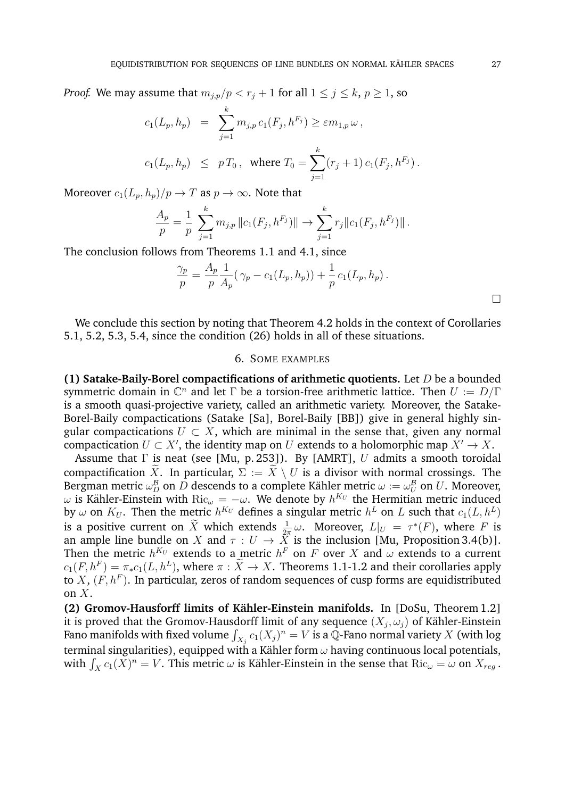*Proof.* We may assume that  $m_{j,p}/p < r_j + 1$  for all  $1 \le j \le k, p \ge 1$ , so

$$
c_1(L_p, h_p) = \sum_{j=1}^k m_{j,p} c_1(F_j, h^{F_j}) \ge \varepsilon m_{1,p} \omega,
$$
  

$$
c_1(L_p, h_p) \le p T_0, \text{ where } T_0 = \sum_{j=1}^k (r_j + 1) c_1(F_j, h^{F_j}).
$$

Moreover  $c_1(L_p, h_p)/p \to T$  as  $p \to \infty$ . Note that

$$
\frac{A_p}{p} = \frac{1}{p} \sum_{j=1}^k m_{j,p} ||c_1(F_j, h^{F_j})|| \to \sum_{j=1}^k r_j ||c_1(F_j, h^{F_j})||.
$$

The conclusion follows from Theorems 1.1 and 4.1, since

$$
\frac{\gamma_p}{p} = \frac{A_p}{p} \frac{1}{A_p} (\gamma_p - c_1(L_p, h_p)) + \frac{1}{p} c_1(L_p, h_p).
$$

We conclude this section by noting that Theorem 4.2 holds in the context of Corollaries 5.1, 5.2, 5.3, 5.4, since the condition (26) holds in all of these situations.

## 6. SOME EXAMPLES

**(1) Satake-Baily-Borel compactifications of arithmetic quotients.** Let D be a bounded symmetric domain in  $\mathbb{C}^n$  and let  $\Gamma$  be a torsion-free arithmetic lattice. Then  $U := D/\Gamma$ is a smooth quasi-projective variety, called an arithmetic variety. Moreover, the Satake-Borel-Baily compactications (Satake [Sa], Borel-Baily [BB]) give in general highly singular compactications  $U \subset X$ , which are minimal in the sense that, given any normal compactication  $U \subset X'$ , the identity map on U extends to a holomorphic map  $X' \to X$ .

Assume that  $\Gamma$  is neat (see [Mu, p. 253]). By [AMRT], U admits a smooth toroidal compactification  $\widetilde{X}$ . In particular,  $\Sigma := \widetilde{X} \setminus U$  is a divisor with normal crossings. The Bergman metric  $\omega_D^\mathcal{B}$  on  $D$  descends to a complete Kähler metric  $\omega:=\omega_U^\mathcal{B}$  on  $U.$  Moreover,  $\omega$  is Kähler-Einstein with  $\text{Ric}_{\omega}=-\omega.$  We denote by  $h^{K_U}$  the Hermitian metric induced by  $\omega$  on  $K_U$ . Then the metric  $h^{K_U}$  defines a singular metric  $h^L$  on  $L$  such that  $c_1(L, h^L)$ is a positive current on  $\widetilde{X}$  which extends  $\frac{1}{2\pi}\omega$ . Moreover,  $L|_U = \tau^*(F)$ , where F is an ample line bundle on X and  $\tau: U \to X$  is the inclusion [Mu, Proposition 3.4(b)]. Then the metric  $h^{K_U}$  extends to a metric  $h^{F}$  on  $F$  over  $X$  and  $\omega$  extends to a current  $c_1(F, h^F) = \pi_* c_1(L, h^L)$ , where  $\pi : \tilde{X} \to X$ . Theorems 1.1-1.2 and their corollaries apply to  $X$ ,  $(F, h^F)$ . In particular, zeros of random sequences of cusp forms are equidistributed on  $X$ .

**(2) Gromov-Hausforff limits of Kähler-Einstein manifolds.** In [DoSu, Theorem 1.2] it is proved that the Gromov-Hausdorff limit of any sequence  $(X_j,\omega_j)$  of Kähler-Einstein Fano manifolds with fixed volume  $\int_{X_j} c_1(X_j)^n = V$  is a  $\bar {\mathbb Q}$ -Fano normal variety  $X$  (with log terminal singularities), equipped with a Kähler form  $\omega$  having continuous local potentials, with  $\int_X c_1(X)^n = V$ . This metric  $\omega$  is Kähler-Einstein in the sense that  $\mathrm{Ric}_{\omega} = \omega$  on  $X_{reg}$ .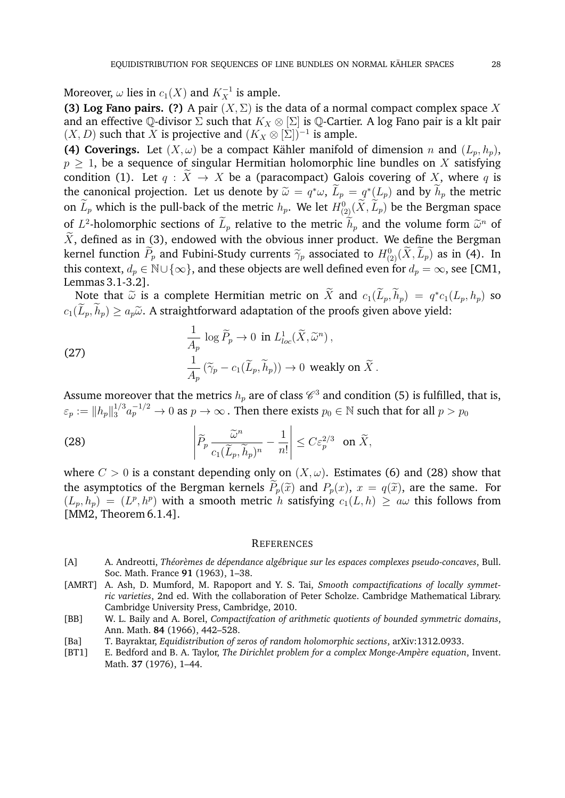Moreover,  $\omega$  lies in  $c_1(X)$  and  $K_X^{-1}$  is ample.

**(3) Log Fano pairs. (?)** A pair  $(X, \Sigma)$  is the data of a normal compact complex space X and an effective  $\mathbb Q$ -divisor  $\Sigma$  such that  $K_X \otimes \Sigma$  is  $\mathbb Q$ -Cartier. A log Fano pair is a klt pair  $(X, D)$  such that X is projective and  $(K_X \otimes [\Sigma])^{-1}$  is ample.

**(4) Coverings.** Let  $(X, \omega)$  be a compact Kähler manifold of dimension n and  $(L_p, h_p)$ ,  $p \geq 1$ , be a sequence of singular Hermitian holomorphic line bundles on X satisfying condition (1). Let  $q : \tilde{X} \to X$  be a (paracompact) Galois covering of X, where q is the canonical projection. Let us denote by  $\tilde{\omega} = q^* \omega$ ,  $\tilde{L}_p = q^*(L_p)$  and by  $h_p$  the metric on  $\tilde{L}$ , which is the pull heck of the metric  $k$ . We let  $U^0$  ( $\tilde{V}$ ,  $\tilde{L}$ ) he the Person space on  $\tilde{L}_p$  which is the pull-back of the metric  $h_p$ . We let  $H^0_{(2)}(\tilde{X}, \tilde{L}_p)$  be the Bergman space of  $L^2$ -holomorphic sections of  $\tilde{L}_p$  relative to the metric  $\tilde{h}_p$  and the volume form  $\tilde{\omega}^n$  of  $\tilde{\chi}$  defined as in (2), and suitable the obvious inner nucleat. We define the Bergman  $\widetilde{X}$ , defined as in (3), endowed with the obvious inner product. We define the Bergman kernel function  $\widetilde{P}_p$  and Fubini-Study currents  $\widetilde{\gamma}_p$  associated to  $H^0_{(2)}(\widetilde{X}, \widetilde{L}_p)$  as in (4). In this content of  $\widetilde{E}$  and these objects are viall defined even for density  $\widetilde{E}$  and  $\widetilde{E}$  this context,  $d_p \in \mathbb{N} \cup \{\infty\}$ , and these objects are well defined even for  $d_p = \infty$ , see [CM1, Lemmas 3.1-3.2].

Note that  $\tilde{\omega}$  is a complete Hermitian metric on  $\tilde{X}$  and  $c_1(\tilde{L}_p, h_p) = q^* c_1(L_p, h_p)$  so  $(\tilde{L}_p, \tilde{L}_p) > \tilde{\omega}$ .  $c_1(\widetilde{L}_p, \widetilde{h}_p) \ge a_p \widetilde{\omega}$ . A straightforward adaptation of the proofs given above yield:

(27) 
$$
\frac{1}{A_p} \log \widetilde{P}_p \to 0 \text{ in } L^1_{loc}(\widetilde{X}, \widetilde{\omega}^n),
$$

$$
\frac{1}{A_p} (\widetilde{\gamma}_p - c_1(\widetilde{L}_p, \widetilde{h}_p)) \to 0 \text{ weakly on } \widetilde{X}.
$$

Assume moreover that the metrics  $h_p$  are of class  $\mathscr C^3$  and condition (5) is fulfilled, that is,  $\varepsilon_p:=\|h_p\|_3^{1/3}a_p^{-1/2}\to 0$  as  $p\to\infty$  . Then there exists  $p_0\in\mathbb N$  such that for all  $p>p_0$ 

(28) 
$$
\left|\widetilde{P}_p \frac{\widetilde{\omega}^n}{c_1(\widetilde{L}_p, \widetilde{h}_p)^n} - \frac{1}{n!}\right| \leq C \varepsilon_p^{2/3} \text{ on } \widetilde{X},
$$

where  $C > 0$  is a constant depending only on  $(X, \omega)$ . Estimates (6) and (28) show that the asymptotics of the Bergman kernels  $\widetilde{P}_p(\widetilde{x})$  and  $P_p(x)$ ,  $x = q(\widetilde{x})$ , are the same. For  $(L_p, h_p) = (L^p, h^p)$  with a smooth metric h satisfying  $c_1(L, h) \geq a\omega$  this follows from [MM2, Theorem 6.1.4].

#### **REFERENCES**

- [A] A. Andreotti, *Théorèmes de dépendance algébrique sur les espaces complexes pseudo-concaves*, Bull. Soc. Math. France **91** (1963), 1–38.
- [AMRT] A. Ash, D. Mumford, M. Rapoport and Y. S. Tai, *Smooth compactifications of locally symmetric varieties*, 2nd ed. With the collaboration of Peter Scholze. Cambridge Mathematical Library. Cambridge University Press, Cambridge, 2010.
- [BB] W. L. Baily and A. Borel, *Compactifcation of arithmetic quotients of bounded symmetric domains*, Ann. Math. **84** (1966), 442–528.
- [Ba] T. Bayraktar, *Equidistribution of zeros of random holomorphic sections*, arXiv:1312.0933.
- [BT1] E. Bedford and B. A. Taylor, *The Dirichlet problem for a complex Monge-Ampère equation*, Invent. Math. **37** (1976), 1–44.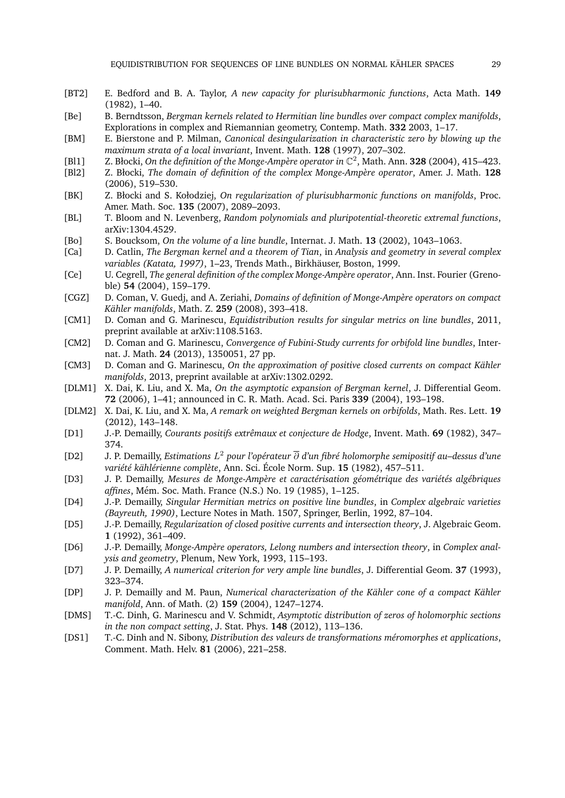- [BT2] E. Bedford and B. A. Taylor, *A new capacity for plurisubharmonic functions*, Acta Math. **149** (1982), 1–40.
- [Be] B. Berndtsson, *Bergman kernels related to Hermitian line bundles over compact complex manifolds*, Explorations in complex and Riemannian geometry, Contemp. Math. **332** 2003, 1–17.
- [BM] E. Bierstone and P. Milman, *Canonical desingularization in characteristic zero by blowing up the maximum strata of a local invariant*, Invent. Math. **128** (1997), 207–302.
- [Bl1] Z. Błocki, On the definition of the Monge-Ampère operator in  $\mathbb{C}^2$ , Math. Ann. **328** (2004), 415–423.
- [Bl2] Z. Błocki, *The domain of definition of the complex Monge-Amp`ere operator*, Amer. J. Math. **128** (2006), 519–530.
- [BK] Z. Błocki and S. Kołodziej, *On regularization of plurisubharmonic functions on manifolds*, Proc. Amer. Math. Soc. **135** (2007), 2089–2093.
- [BL] T. Bloom and N. Levenberg, *Random polynomials and pluripotential-theoretic extremal functions*, arXiv:1304.4529.
- [Bo] S. Boucksom, *On the volume of a line bundle*, Internat. J. Math. **13** (2002), 1043–1063.
- [Ca] D. Catlin, *The Bergman kernel and a theorem of Tian*, in *Analysis and geometry in several complex* variables (Katata, 1997), 1–23, Trends Math., Birkhäuser, Boston, 1999.
- [Ce] U. Cegrell, *The general definition of the complex Monge-Ampère operator*, Ann. Inst. Fourier (Grenoble) **54** (2004), 159–179.
- [CGZ] D. Coman, V. Guedj, and A. Zeriahi, *Domains of definition of Monge-Amp`ere operators on compact Kahler manifolds ¨* , Math. Z. **259** (2008), 393–418.
- [CM1] D. Coman and G. Marinescu, *Equidistribution results for singular metrics on line bundles*, 2011, preprint available at arXiv:1108.5163.
- [CM2] D. Coman and G. Marinescu, *Convergence of Fubini-Study currents for orbifold line bundles*, Internat. J. Math. **24** (2013), 1350051, 27 pp.
- [CM3] D. Coman and G. Marinescu, *On the approximation of positive closed currents on compact Kähler manifolds*, 2013, preprint available at arXiv:1302.0292.
- [DLM1] X. Dai, K. Liu, and X. Ma, *On the asymptotic expansion of Bergman kernel*, J. Differential Geom. **72** (2006), 1–41; announced in C. R. Math. Acad. Sci. Paris **339** (2004), 193–198.
- [DLM2] X. Dai, K. Liu, and X. Ma, *A remark on weighted Bergman kernels on orbifolds*, Math. Res. Lett. **19** (2012), 143–148.
- [D1] J.-P. Demailly, *Courants positifs extrˆemaux et conjecture de Hodge*, Invent. Math. **69** (1982), 347– 374.
- [D2] J. P. Demailly, *Estimations* L <sup>2</sup> *pour l'op´erateur* ∂ *d'un fibr´e holomorphe semipositif au–dessus d'une vari´et´e kahl ¨ ´erienne compl`ete*, Ann. Sci. Ecole Norm. Sup. ´ **15** (1982), 457–511.
- [D3] J. P. Demailly, *Mesures de Monge-Ampère et caractérisation géométrique des variétés algébriques affines*, M´em. Soc. Math. France (N.S.) No. 19 (1985), 1–125.
- [D4] J.-P. Demailly, *Singular Hermitian metrics on positive line bundles*, in *Complex algebraic varieties (Bayreuth, 1990)*, Lecture Notes in Math. 1507, Springer, Berlin, 1992, 87–104.
- [D5] J.-P. Demailly, *Regularization of closed positive currents and intersection theory*, J. Algebraic Geom. **1** (1992), 361–409.
- [D6] J.-P. Demailly, *Monge-Ampère operators, Lelong numbers and intersection theory*, in *Complex analysis and geometry*, Plenum, New York, 1993, 115–193.
- [D7] J. P. Demailly, *A numerical criterion for very ample line bundles*, J. Differential Geom. **37** (1993), 323–374.
- [DP] J. P. Demailly and M. Paun, *Numerical characterization of the Kähler cone of a compact Kähler manifold*, Ann. of Math. (2) **159** (2004), 1247–1274.
- [DMS] T.-C. Dinh, G. Marinescu and V. Schmidt, *Asymptotic distribution of zeros of holomorphic sections in the non compact setting*, J. Stat. Phys. **148** (2012), 113–136.
- [DS1] T.-C. Dinh and N. Sibony, *Distribution des valeurs de transformations m´eromorphes et applications*, Comment. Math. Helv. **81** (2006), 221–258.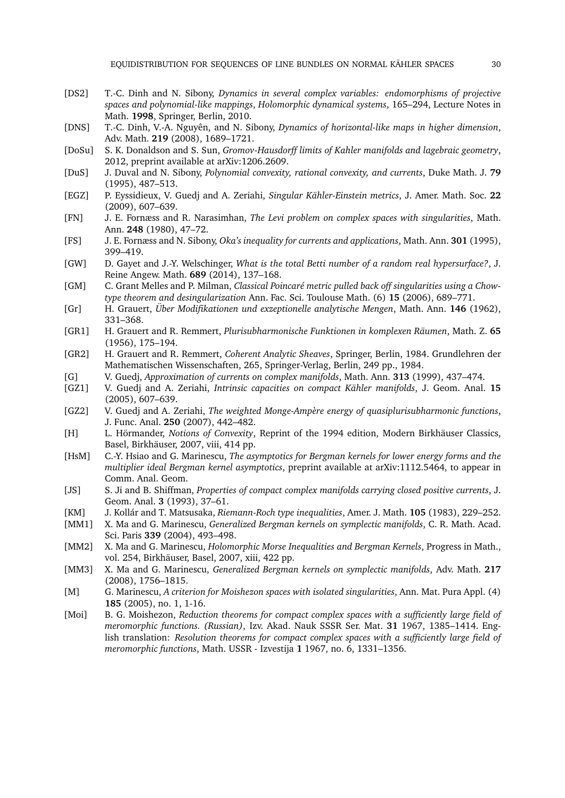- [DS2] T.-C. Dinh and N. Sibony, *Dynamics in several complex variables: endomorphisms of projective spaces and polynomial-like mappings*, *Holomorphic dynamical systems*, 165–294, Lecture Notes in Math. **1998**, Springer, Berlin, 2010.
- [DNS] T.-C. Dinh, V.-A. Nguyˆen, and N. Sibony, *Dynamics of horizontal-like maps in higher dimension*, Adv. Math. **219** (2008), 1689–1721.
- [DoSu] S. K. Donaldson and S. Sun, *Gromov-Hausdorff limits of Kahler manifolds and lagebraic geometry*, 2012, preprint available at arXiv:1206.2609.
- [DuS] J. Duval and N. Sibony, *Polynomial convexity, rational convexity, and currents*, Duke Math. J. **79** (1995), 487–513.
- [EGZ] P. Eyssidieux, V. Guedj and A. Zeriahi, *Singular Kähler-Einstein metrics*, J. Amer. Math. Soc. 22 (2009), 607–639.
- [FN] J. E. Fornæss and R. Narasimhan, *The Levi problem on complex spaces with singularities*, Math. Ann. **248** (1980), 47–72.
- [FS] J. E. Fornæss and N. Sibony, *Oka's inequality for currents and applications*, Math. Ann. **301** (1995), 399–419.
- [GW] D. Gayet and J.-Y. Welschinger, *What is the total Betti number of a random real hypersurface?*, J. Reine Angew. Math. **689** (2014), 137–168.
- [GM] C. Grant Melles and P. Milman, *Classical Poincaré metric pulled back off singularities using a Chowtype theorem and desingularization* Ann. Fac. Sci. Toulouse Math. (6) **15** (2006), 689–771.
- [Gr] H. Grauert, *Über Modifikationen und exzeptionelle analytische Mengen*, Math. Ann. 146 (1962), 331–368.
- [GR1] H. Grauert and R. Remmert, *Plurisubharmonische Funktionen in komplexen Raumen ¨* , Math. Z. **65** (1956), 175–194.
- [GR2] H. Grauert and R. Remmert, *Coherent Analytic Sheaves*, Springer, Berlin, 1984. Grundlehren der Mathematischen Wissenschaften, 265, Springer-Verlag, Berlin, 249 pp., 1984.
- [G] V. Guedj, *Approximation of currents on complex manifolds*, Math. Ann. **313** (1999), 437–474.
- [GZ1] V. Guedj and A. Zeriahi, *Intrinsic capacities on compact Kähler manifolds*, J. Geom. Anal. 15 (2005), 607–639.
- [GZ2] V. Guedj and A. Zeriahi, *The weighted Monge-Ampère energy of quasiplurisubharmonic functions*, J. Func. Anal. **250** (2007), 442–482.
- [H] L. Hörmander, *Notions of Convexity*, Reprint of the 1994 edition, Modern Birkhäuser Classics, Basel, Birkhäuser, 2007, viii, 414 pp.
- [HsM] C.-Y. Hsiao and G. Marinescu, *The asymptotics for Bergman kernels for lower energy forms and the multiplier ideal Bergman kernel asymptotics*, preprint available at arXiv:1112.5464, to appear in Comm. Anal. Geom.
- [JS] S. Ji and B. Shiffman, *Properties of compact complex manifolds carrying closed positive currents*, J. Geom. Anal. **3** (1993), 37–61.
- [KM] J. Kollár and T. Matsusaka, Riemann-Roch type inequalities, Amer. J. Math. **105** (1983), 229–252.
- [MM1] X. Ma and G. Marinescu, *Generalized Bergman kernels on symplectic manifolds*, C. R. Math. Acad. Sci. Paris **339** (2004), 493–498.
- [MM2] X. Ma and G. Marinescu, *Holomorphic Morse Inequalities and Bergman Kernels*, Progress in Math., vol. 254, Birkhäuser, Basel, 2007, xiii, 422 pp.
- [MM3] X. Ma and G. Marinescu, *Generalized Bergman kernels on symplectic manifolds*, Adv. Math. **217** (2008), 1756–1815.
- [M] G. Marinescu, *A criterion for Moishezon spaces with isolated singularities*, Ann. Mat. Pura Appl. (4) **185** (2005), no. 1, 1-16.
- [Moi] B. G. Moishezon, *Reduction theorems for compact complex spaces with a sufficiently large field of meromorphic functions. (Russian)*, Izv. Akad. Nauk SSSR Ser. Mat. **31** 1967, 1385–1414. English translation: *Resolution theorems for compact complex spaces with a sufficiently large field of meromorphic functions*, Math. USSR - Izvestija **1** 1967, no. 6, 1331–1356.